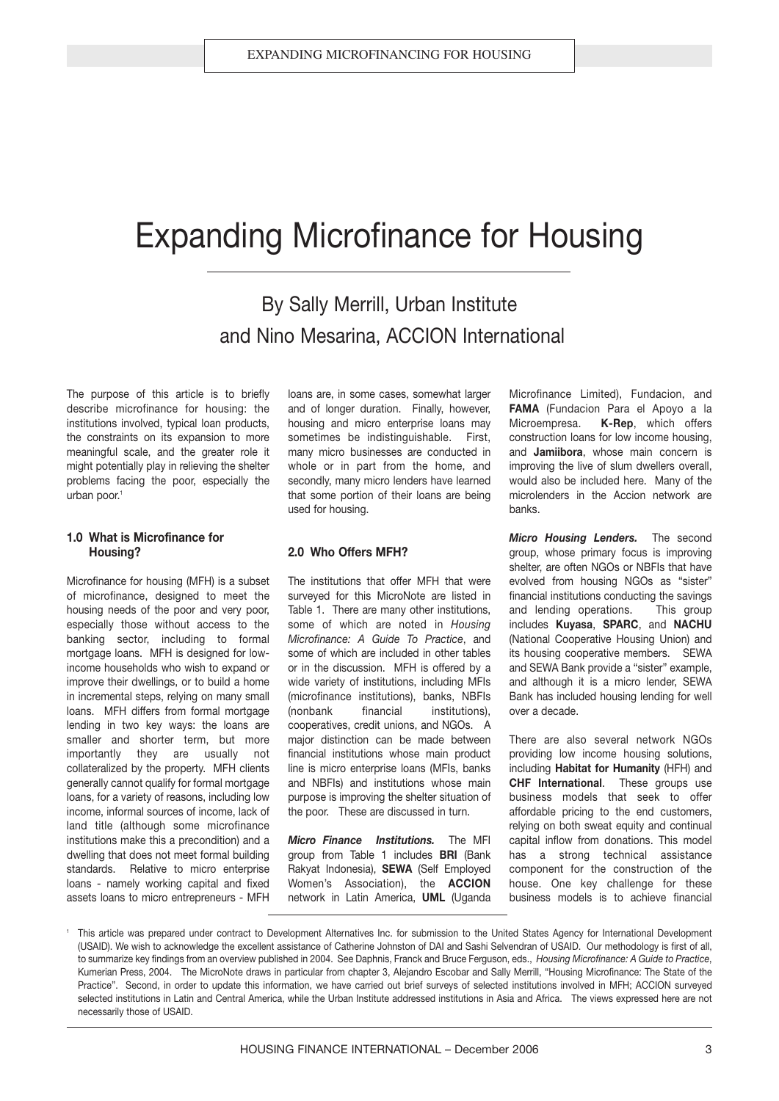### Expanding Microfinance for Housing

By Sally Merrill, Urban Institute and Nino Mesarina, ACCION International

The purpose of this article is to briefly describe microfinance for housing: the institutions involved, typical loan products, the constraints on its expansion to more meaningful scale, and the greater role it might potentially play in relieving the shelter problems facing the poor, especially the urban poor.<sup>1</sup>

#### **1.0 What is Microfinance for Housing?**

Microfinance for housing (MFH) is a subset of microfinance, designed to meet the housing needs of the poor and very poor, especially those without access to the banking sector, including to formal mortgage loans. MFH is designed for lowincome households who wish to expand or improve their dwellings, or to build a home in incremental steps, relying on many small loans. MFH differs from formal mortgage lending in two key ways: the loans are smaller and shorter term, but more importantly they are usually not collateralized by the property. MFH clients generally cannot qualify for formal mortgage loans, for a variety of reasons, including low income, informal sources of income, lack of land title (although some microfinance institutions make this a precondition) and a dwelling that does not meet formal building standards. Relative to micro enterprise loans - namely working capital and fixed assets loans to micro entrepreneurs - MFH loans are, in some cases, somewhat larger and of longer duration. Finally, however, housing and micro enterprise loans may sometimes be indistinguishable. First, many micro businesses are conducted in whole or in part from the home, and secondly, many micro lenders have learned that some portion of their loans are being used for housing.

#### **2.0 Who Offers MFH?**

The institutions that offer MFH that were surveyed for this MicroNote are listed in Table 1. There are many other institutions, some of which are noted in *Housing Microfinance: A Guide To Practice*, and some of which are included in other tables or in the discussion. MFH is offered by a wide variety of institutions, including MFIs (microfinance institutions), banks, NBFIs (nonbank financial institutions), cooperatives, credit unions, and NGOs. A major distinction can be made between financial institutions whose main product line is micro enterprise loans (MFIs, banks and NBFIs) and institutions whose main purpose is improving the shelter situation of the poor. These are discussed in turn.

*Micro Finance Institutions.* The MFI group from Table 1 includes **BRI** (Bank Rakyat Indonesia), **SEWA** (Self Employed Women's Association), the **ACCION** network in Latin America, **UML** (Uganda Microfinance Limited), Fundacion, and **FAMA** (Fundacion Para el Apoyo a la Microempresa. **K-Rep**, which offers construction loans for low income housing, and **Jamiibora**, whose main concern is improving the live of slum dwellers overall, would also be included here. Many of the microlenders in the Accion network are banks.

*Micro Housing Lenders.* The second group, whose primary focus is improving shelter, are often NGOs or NBFIs that have evolved from housing NGOs as "sister" financial institutions conducting the savings and lending operations. This group includes **Kuyasa**, **SPARC**, and **NACHU** (National Cooperative Housing Union) and its housing cooperative members. SEWA and SEWA Bank provide a "sister" example, and although it is a micro lender, SEWA Bank has included housing lending for well over a decade.

There are also several network NGOs providing low income housing solutions, including **Habitat for Humanity** (HFH) and **CHF International**. These groups use business models that seek to offer affordable pricing to the end customers, relying on both sweat equity and continual capital inflow from donations. This model has a strong technical assistance component for the construction of the house. One key challenge for these business models is to achieve financial

<sup>1</sup> This article was prepared under contract to Development Alternatives Inc. for submission to the United States Agency for International Development (USAID). We wish to acknowledge the excellent assistance of Catherine Johnston of DAI and Sashi Selvendran of USAID. Our methodology is first of all, to summarize key findings from an overview published in 2004. See Daphnis, Franck and Bruce Ferguson, eds., *Housing Microfinance: A Guide to Practice*, Kumerian Press, 2004. The MicroNote draws in particular from chapter 3, Alejandro Escobar and Sally Merrill, "Housing Microfinance: The State of the Practice". Second, in order to update this information, we have carried out brief surveys of selected institutions involved in MFH; ACCION surveyed selected institutions in Latin and Central America, while the Urban Institute addressed institutions in Asia and Africa. The views expressed here are not necessarily those of USAID.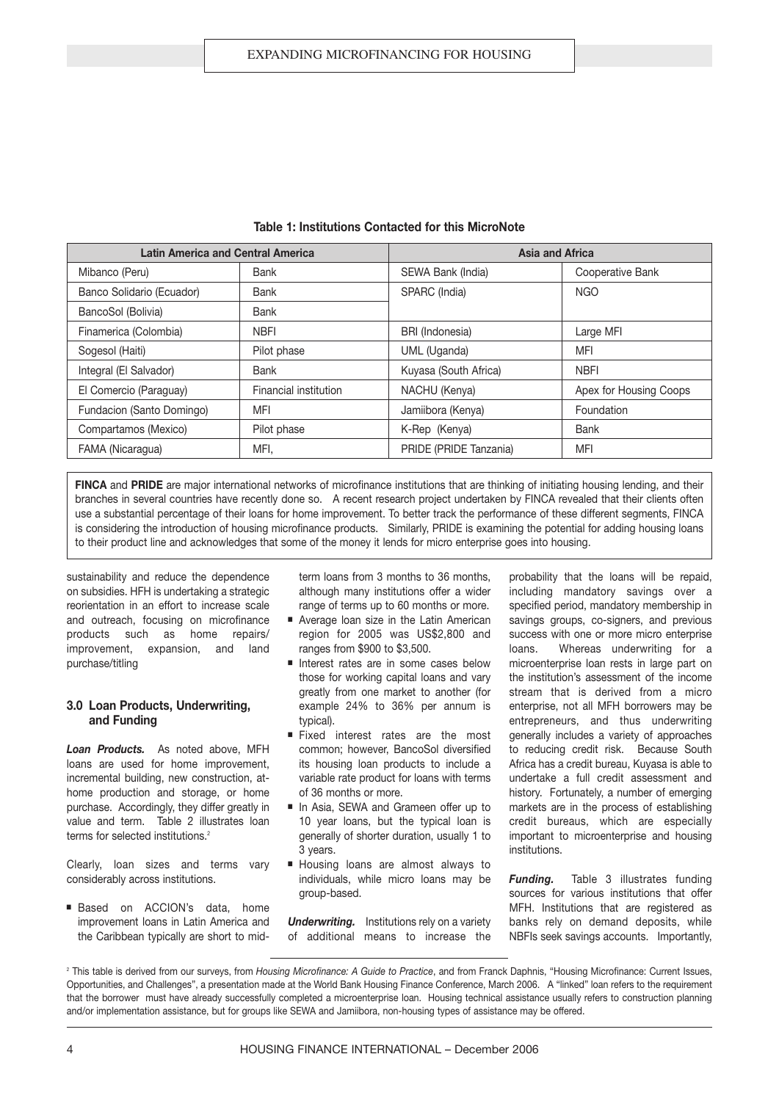| <b>Latin America and Central America</b> |                       | Asia and Africa        |                        |  |  |
|------------------------------------------|-----------------------|------------------------|------------------------|--|--|
| Mibanco (Peru)                           | Bank                  | SEWA Bank (India)      | Cooperative Bank       |  |  |
| Banco Solidario (Ecuador)                | <b>Bank</b>           | SPARC (India)          | <b>NGO</b>             |  |  |
| BancoSol (Bolivia)                       | Bank                  |                        |                        |  |  |
| Finamerica (Colombia)                    | <b>NBFI</b>           | BRI (Indonesia)        | Large MFI              |  |  |
| Sogesol (Haiti)                          | Pilot phase           | UML (Uganda)           | <b>MFI</b>             |  |  |
| Integral (El Salvador)                   | <b>Bank</b>           | Kuyasa (South Africa)  | <b>NBFI</b>            |  |  |
| El Comercio (Paraguay)                   | Financial institution | NACHU (Kenya)          | Apex for Housing Coops |  |  |
| Fundacion (Santo Domingo)                | MFI                   | Jamiibora (Kenya)      | Foundation             |  |  |
| Compartamos (Mexico)                     | Pilot phase           | K-Rep (Kenya)          | Bank                   |  |  |
| FAMA (Nicaragua)                         | MFI.                  | PRIDE (PRIDE Tanzania) | <b>MFI</b>             |  |  |

#### **Table 1: Institutions Contacted for this MicroNote**

**FINCA** and **PRIDE** are major international networks of microfinance institutions that are thinking of initiating housing lending, and their branches in several countries have recently done so. A recent research project undertaken by FINCA revealed that their clients often use a substantial percentage of their loans for home improvement. To better track the performance of these different segments, FINCA is considering the introduction of housing microfinance products. Similarly, PRIDE is examining the potential for adding housing loans to their product line and acknowledges that some of the money it lends for micro enterprise goes into housing.

sustainability and reduce the dependence on subsidies. HFH is undertaking a strategic reorientation in an effort to increase scale and outreach, focusing on microfinance products such as home repairs/ improvement, expansion, and land purchase/titling

#### **3.0 Loan Products, Underwriting, and Funding**

*Loan Products.* As noted above, MFH loans are used for home improvement, incremental building, new construction, athome production and storage, or home purchase. Accordingly, they differ greatly in value and term. Table 2 illustrates loan terms for selected institutions.<sup>2</sup>

Clearly, loan sizes and terms vary considerably across institutions.

■ Based on ACCION's data, home improvement loans in Latin America and the Caribbean typically are short to midterm loans from 3 months to 36 months, although many institutions offer a wider range of terms up to 60 months or more.

- Average loan size in the Latin American region for 2005 was US\$2,800 and ranges from \$900 to \$3,500.
- Interest rates are in some cases below those for working capital loans and vary greatly from one market to another (for example 24% to 36% per annum is typical).
- Fixed interest rates are the most common; however, BancoSol diversified its housing loan products to include a variable rate product for loans with terms of 36 months or more.
- In Asia, SEWA and Grameen offer up to 10 year loans, but the typical loan is generally of shorter duration, usually 1 to 3 years.
- Housing loans are almost always to individuals, while micro loans may be group-based.

*Underwriting.* Institutions rely on a variety of additional means to increase the probability that the loans will be repaid, including mandatory savings over a specified period, mandatory membership in savings groups, co-signers, and previous success with one or more micro enterprise loans. Whereas underwriting for a microenterprise loan rests in large part on the institution's assessment of the income stream that is derived from a micro enterprise, not all MFH borrowers may be entrepreneurs, and thus underwriting generally includes a variety of approaches to reducing credit risk. Because South Africa has a credit bureau, Kuyasa is able to undertake a full credit assessment and history. Fortunately, a number of emerging markets are in the process of establishing credit bureaus, which are especially important to microenterprise and housing institutions.

*Funding.* Table 3 illustrates funding sources for various institutions that offer MFH. Institutions that are registered as banks rely on demand deposits, while NBFIs seek savings accounts. Importantly,

<sup>&</sup>lt;sup>2</sup> This table is derived from our surveys, from *Housing Microfinance: A Guide to Practice*, and from Franck Daphnis, "Housing Microfinance: Current Issues, Opportunities, and Challenges", a presentation made at the World Bank Housing Finance Conference, March 2006. A "linked" loan refers to the requirement that the borrower must have already successfully completed a microenterprise loan. Housing technical assistance usually refers to construction planning and/or implementation assistance, but for groups like SEWA and Jamiibora, non-housing types of assistance may be offered.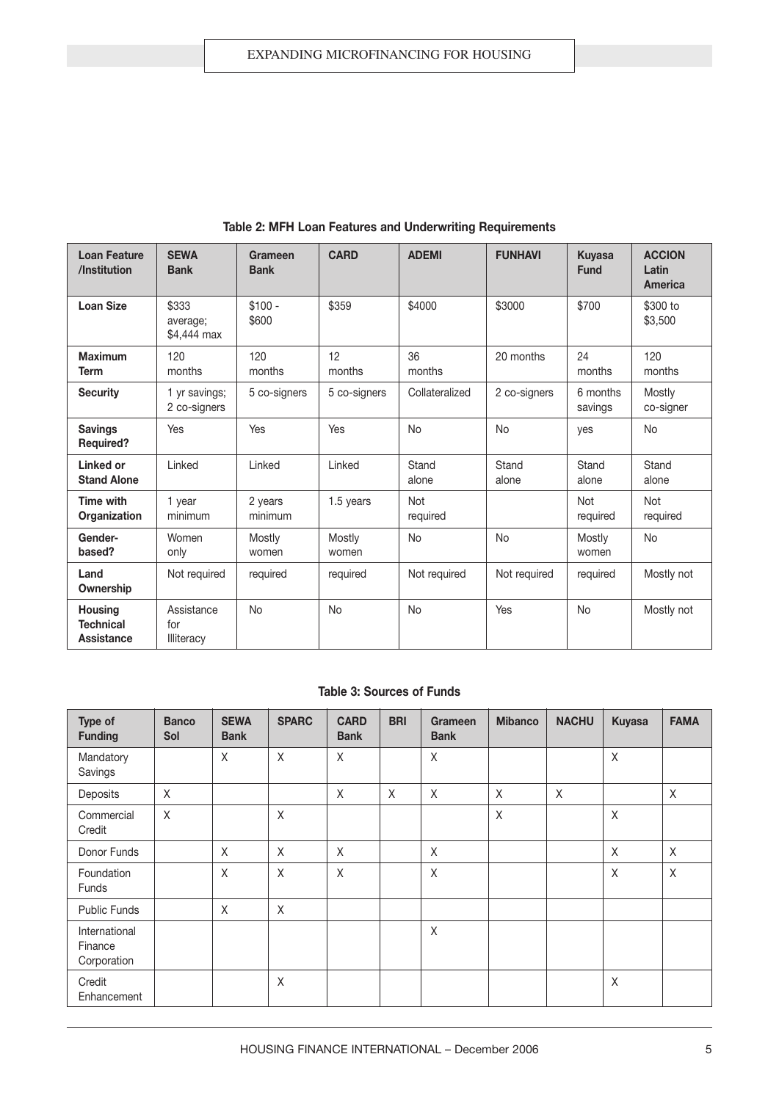| <b>Loan Feature</b><br>/Institution              | <b>SEWA</b><br><b>Bank</b>       | Grameen<br><b>Bank</b> | <b>CARD</b>     | <b>ADEMI</b>    | <b>FUNHAVI</b> | <b>Kuyasa</b><br><b>Fund</b> | <b>ACCION</b><br>Latin<br>America |
|--------------------------------------------------|----------------------------------|------------------------|-----------------|-----------------|----------------|------------------------------|-----------------------------------|
| <b>Loan Size</b>                                 | \$333<br>average;<br>\$4,444 max | $$100 -$<br>\$600      | \$359           | \$4000          | \$3000         | \$700                        | \$300 to<br>\$3,500               |
| <b>Maximum</b><br><b>Term</b>                    | 120<br>months                    | 120<br>months          | 12<br>months    | 36<br>months    | 20 months      | 24<br>months                 | 120<br>months                     |
| <b>Security</b>                                  | 1 yr savings;<br>2 co-signers    | 5 co-signers           | 5 co-signers    | Collateralized  | 2 co-signers   | 6 months<br>savings          | Mostly<br>co-signer               |
| <b>Savings</b><br><b>Required?</b>               | Yes                              | Yes                    | Yes             | <b>No</b>       | <b>No</b>      | yes                          | <b>No</b>                         |
| Linked or<br><b>Stand Alone</b>                  | Linked                           | Linked                 | Linked          | Stand<br>alone  | Stand<br>alone | Stand<br>alone               | Stand<br>alone                    |
| <b>Time with</b><br>Organization                 | 1 year<br>minimum                | 2 years<br>minimum     | 1.5 years       | Not<br>required |                | <b>Not</b><br>required       | <b>Not</b><br>required            |
| Gender-<br>based?                                | Women<br>only                    | Mostly<br>women        | Mostly<br>women | <b>No</b>       | <b>No</b>      | Mostly<br>women              | <b>No</b>                         |
| Land<br>Ownership                                | Not required                     | required               | required        | Not required    | Not required   | required                     | Mostly not                        |
| <b>Housing</b><br><b>Technical</b><br>Assistance | Assistance<br>for<br>Illiteracy  | <b>No</b>              | <b>No</b>       | <b>No</b>       | Yes            | <b>No</b>                    | Mostly not                        |

**Table 2: MFH Loan Features and Underwriting Requirements**

#### **Table 3: Sources of Funds**

| Type of<br><b>Funding</b>               | <b>Banco</b><br>Sol | <b>SEWA</b><br><b>Bank</b> | <b>SPARC</b> | <b>CARD</b><br><b>Bank</b> | <b>BRI</b> | <b>Grameen</b><br><b>Bank</b> | <b>Mibanco</b> | <b>NACHU</b> | <b>Kuyasa</b> | <b>FAMA</b> |
|-----------------------------------------|---------------------|----------------------------|--------------|----------------------------|------------|-------------------------------|----------------|--------------|---------------|-------------|
| Mandatory<br>Savings                    |                     | X                          | X            | X                          |            | Χ                             |                |              | Χ             |             |
| Deposits                                | X                   |                            |              | X                          | $\chi$     | X                             | X              | X            |               | X           |
| Commercial<br>Credit                    | $\chi$              |                            | X            |                            |            |                               | $\sf X$        |              | $\sf X$       |             |
| Donor Funds                             |                     | $\mathsf X$                | X            | $\mathsf{X}$               |            | $\sf X$                       |                |              | $\sf X$       | $\mathsf X$ |
| Foundation<br>Funds                     |                     | X                          | $\chi$       | X                          |            | X                             |                |              | X             | X           |
| <b>Public Funds</b>                     |                     | X                          | X            |                            |            |                               |                |              |               |             |
| International<br>Finance<br>Corporation |                     |                            |              |                            |            | Χ                             |                |              |               |             |
| Credit<br>Enhancement                   |                     |                            | X            |                            |            |                               |                |              | X             |             |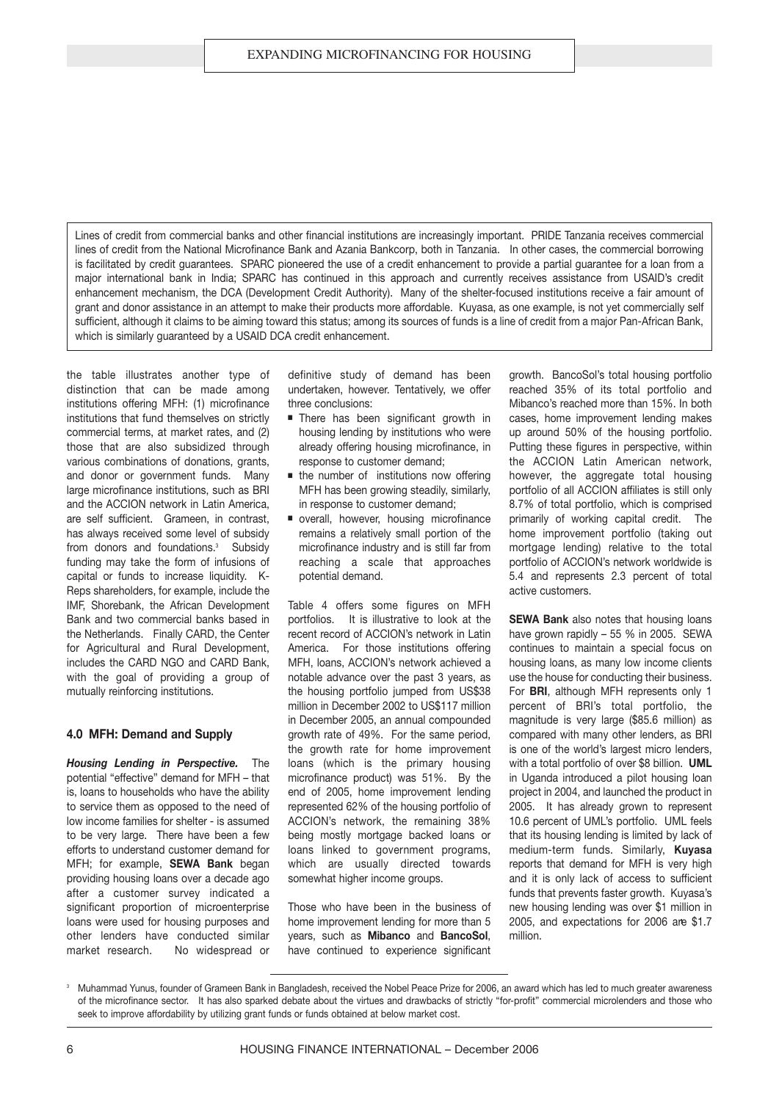Lines of credit from commercial banks and other financial institutions are increasingly important. PRIDE Tanzania receives commercial lines of credit from the National Microfinance Bank and Azania Bankcorp, both in Tanzania. In other cases, the commercial borrowing is facilitated by credit guarantees. SPARC pioneered the use of a credit enhancement to provide a partial guarantee for a loan from a major international bank in India; SPARC has continued in this approach and currently receives assistance from USAID's credit enhancement mechanism, the DCA (Development Credit Authority). Many of the shelter-focused institutions receive a fair amount of grant and donor assistance in an attempt to make their products more affordable. Kuyasa, as one example, is not yet commercially self sufficient, although it claims to be aiming toward this status; among its sources of funds is a line of credit from a major Pan-African Bank, which is similarly guaranteed by a USAID DCA credit enhancement.

the table illustrates another type of distinction that can be made among institutions offering MFH: (1) microfinance institutions that fund themselves on strictly commercial terms, at market rates, and (2) those that are also subsidized through various combinations of donations, grants, and donor or government funds. Many large microfinance institutions, such as BRI and the ACCION network in Latin America, are self sufficient. Grameen, in contrast, has always received some level of subsidy from donors and foundations.<sup>3</sup> Subsidy funding may take the form of infusions of capital or funds to increase liquidity. K-Reps shareholders, for example, include the IMF, Shorebank, the African Development Bank and two commercial banks based in the Netherlands. Finally CARD, the Center for Agricultural and Rural Development, includes the CARD NGO and CARD Bank, with the goal of providing a group of mutually reinforcing institutions.

#### **4.0 MFH: Demand and Supply**

*Housing Lending in Perspective.* The potential "effective" demand for MFH – that is, loans to households who have the ability to service them as opposed to the need of low income families for shelter - is assumed to be very large. There have been a few efforts to understand customer demand for MFH; for example, **SEWA Bank** began providing housing loans over a decade ago after a customer survey indicated a significant proportion of microenterprise loans were used for housing purposes and other lenders have conducted similar market research. No widespread or definitive study of demand has been undertaken, however. Tentatively, we offer three conclusions:

- There has been significant growth in housing lending by institutions who were already offering housing microfinance, in response to customer demand;
- the number of institutions now offering MFH has been growing steadily, similarly, in response to customer demand;
- overall, however, housing microfinance remains a relatively small portion of the microfinance industry and is still far from reaching a scale that approaches potential demand.

Table 4 offers some figures on MFH portfolios. It is illustrative to look at the recent record of ACCION's network in Latin America. For those institutions offering MFH, loans, ACCION's network achieved a notable advance over the past 3 years, as the housing portfolio jumped from US\$38 million in December 2002 to US\$117 million in December 2005, an annual compounded growth rate of 49%. For the same period, the growth rate for home improvement loans (which is the primary housing microfinance product) was 51%. By the end of 2005, home improvement lending represented 62% of the housing portfolio of ACCION's network, the remaining 38% being mostly mortgage backed loans or loans linked to government programs, which are usually directed towards somewhat higher income groups.

Those who have been in the business of home improvement lending for more than 5 years, such as **Mibanco** and **BancoSol**, have continued to experience significant growth. BancoSol's total housing portfolio reached 35% of its total portfolio and Mibanco's reached more than 15%. In both cases, home improvement lending makes up around 50% of the housing portfolio. Putting these figures in perspective, within the ACCION Latin American network, however, the aggregate total housing portfolio of all ACCION affiliates is still only 8.7% of total portfolio, which is comprised primarily of working capital credit. The home improvement portfolio (taking out mortgage lending) relative to the total portfolio of ACCION's network worldwide is 5.4 and represents 2.3 percent of total active customers.

**SEWA Bank** also notes that housing loans have grown rapidly – 55 % in 2005. SEWA continues to maintain a special focus on housing loans, as many low income clients use the house for conducting their business. For **BRI**, although MFH represents only 1 percent of BRI's total portfolio, the magnitude is very large (\$85.6 million) as compared with many other lenders, as BRI is one of the world's largest micro lenders, with a total portfolio of over \$8 billion. **UML** in Uganda introduced a pilot housing loan project in 2004, and launched the product in 2005. It has already grown to represent 10.6 percent of UML's portfolio. UML feels that its housing lending is limited by lack of medium-term funds. Similarly, **Kuyasa** reports that demand for MFH is very high and it is only lack of access to sufficient funds that prevents faster growth. Kuyasa's new housing lending was over \$1 million in 2005, and expectations for 2006 are \$1.7 million.

<sup>3</sup> Muhammad Yunus, founder of Grameen Bank in Bangladesh, received the Nobel Peace Prize for 2006, an award which has led to much greater awareness of the microfinance sector. It has also sparked debate about the virtues and drawbacks of strictly "for-profit" commercial microlenders and those who seek to improve affordability by utilizing grant funds or funds obtained at below market cost.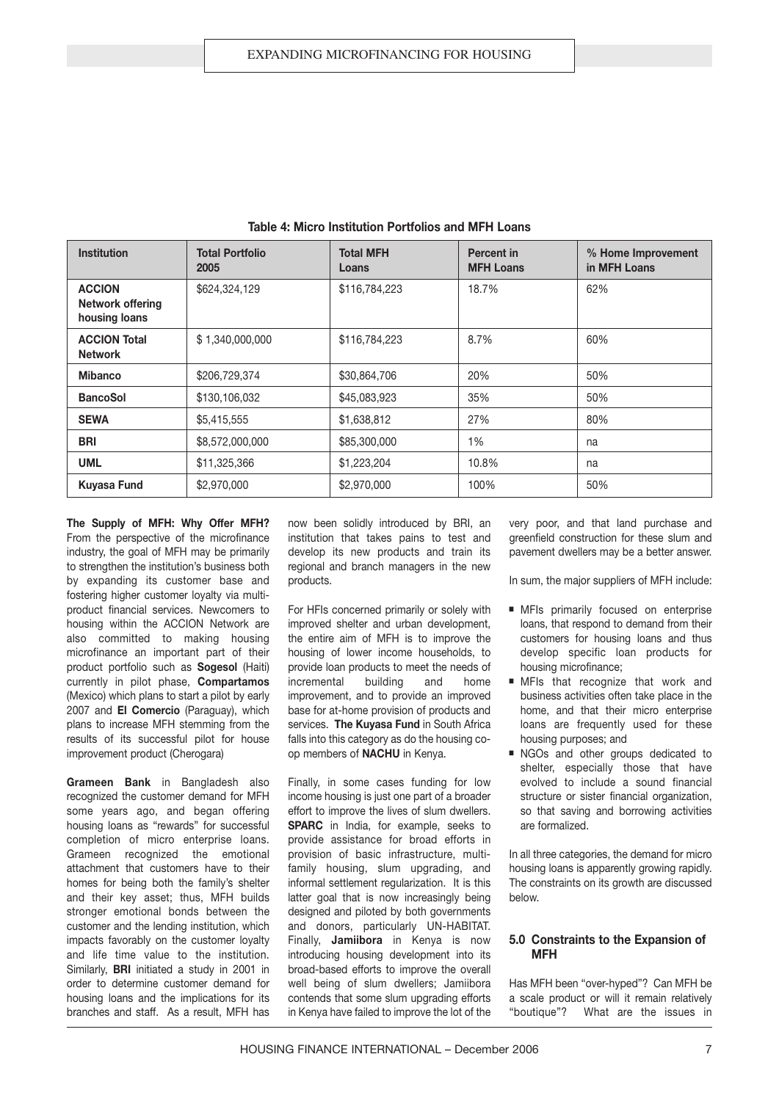| <b>Institution</b>                                 | <b>Total Portfolio</b><br>2005 | <b>Total MFH</b><br>Loans | Percent in<br><b>MFH Loans</b> | % Home Improvement<br>in MFH Loans |
|----------------------------------------------------|--------------------------------|---------------------------|--------------------------------|------------------------------------|
| <b>ACCION</b><br>Network offering<br>housing loans | \$624,324,129                  | \$116,784,223             | 18.7%                          | 62%                                |
| <b>ACCION Total</b><br><b>Network</b>              | \$1,340,000,000                | \$116,784,223             | 8.7%                           | 60%                                |
| <b>Mibanco</b>                                     | \$206,729,374                  | \$30,864,706              | 20%                            | 50%                                |
| <b>BancoSol</b>                                    | \$130,106,032                  | \$45,083,923              | 35%                            | 50%                                |
| <b>SEWA</b>                                        | \$5,415,555                    | \$1,638,812               | 27%                            | 80%                                |
| <b>BRI</b>                                         | \$8,572,000,000                | \$85,300,000              | 1%                             | na                                 |
| <b>UML</b>                                         | \$11,325,366                   | \$1,223,204               | 10.8%                          | na                                 |
| <b>Kuyasa Fund</b>                                 | \$2,970,000                    | \$2,970,000               | 100%                           | 50%                                |

**Table 4: Micro Institution Portfolios and MFH Loans**

**The Supply of MFH: Why Offer MFH?** From the perspective of the microfinance industry, the goal of MFH may be primarily to strengthen the institution's business both by expanding its customer base and fostering higher customer loyalty via multiproduct financial services. Newcomers to housing within the ACCION Network are also committed to making housing microfinance an important part of their product portfolio such as **Sogesol** (Haiti) currently in pilot phase, **Compartamos** (Mexico) which plans to start a pilot by early 2007 and **El Comercio** (Paraguay), which plans to increase MFH stemming from the results of its successful pilot for house improvement product (Cherogara)

**Grameen Bank** in Bangladesh also recognized the customer demand for MFH some years ago, and began offering housing loans as "rewards" for successful completion of micro enterprise loans. Grameen recognized the emotional attachment that customers have to their homes for being both the family's shelter and their key asset; thus, MFH builds stronger emotional bonds between the customer and the lending institution, which impacts favorably on the customer loyalty and life time value to the institution. Similarly, **BRI** initiated a study in 2001 in order to determine customer demand for housing loans and the implications for its branches and staff. As a result, MFH has

now been solidly introduced by BRI, an institution that takes pains to test and develop its new products and train its regional and branch managers in the new products.

For HFIs concerned primarily or solely with improved shelter and urban development, the entire aim of MFH is to improve the housing of lower income households, to provide loan products to meet the needs of incremental building and home improvement, and to provide an improved base for at-home provision of products and services. **The Kuyasa Fund** in South Africa falls into this category as do the housing coop members of **NACHU** in Kenya.

Finally, in some cases funding for low income housing is just one part of a broader effort to improve the lives of slum dwellers. **SPARC** in India, for example, seeks to provide assistance for broad efforts in provision of basic infrastructure, multifamily housing, slum upgrading, and informal settlement regularization. It is this latter goal that is now increasingly being designed and piloted by both governments and donors, particularly UN-HABITAT. Finally, **Jamiibora** in Kenya is now introducing housing development into its broad-based efforts to improve the overall well being of slum dwellers; Jamiibora contends that some slum upgrading efforts in Kenya have failed to improve the lot of the very poor, and that land purchase and greenfield construction for these slum and pavement dwellers may be a better answer.

In sum, the major suppliers of MFH include:

- MFIs primarily focused on enterprise loans, that respond to demand from their customers for housing loans and thus develop specific loan products for housing microfinance;
- MFIs that recognize that work and business activities often take place in the home, and that their micro enterprise loans are frequently used for these housing purposes; and
- NGOs and other groups dedicated to shelter, especially those that have evolved to include a sound financial structure or sister financial organization, so that saving and borrowing activities are formalized.

In all three categories, the demand for micro housing loans is apparently growing rapidly. The constraints on its growth are discussed below.

#### **5.0 Constraints to the Expansion of MFH**

Has MFH been "over-hyped"? Can MFH be a scale product or will it remain relatively "boutique"? What are the issues in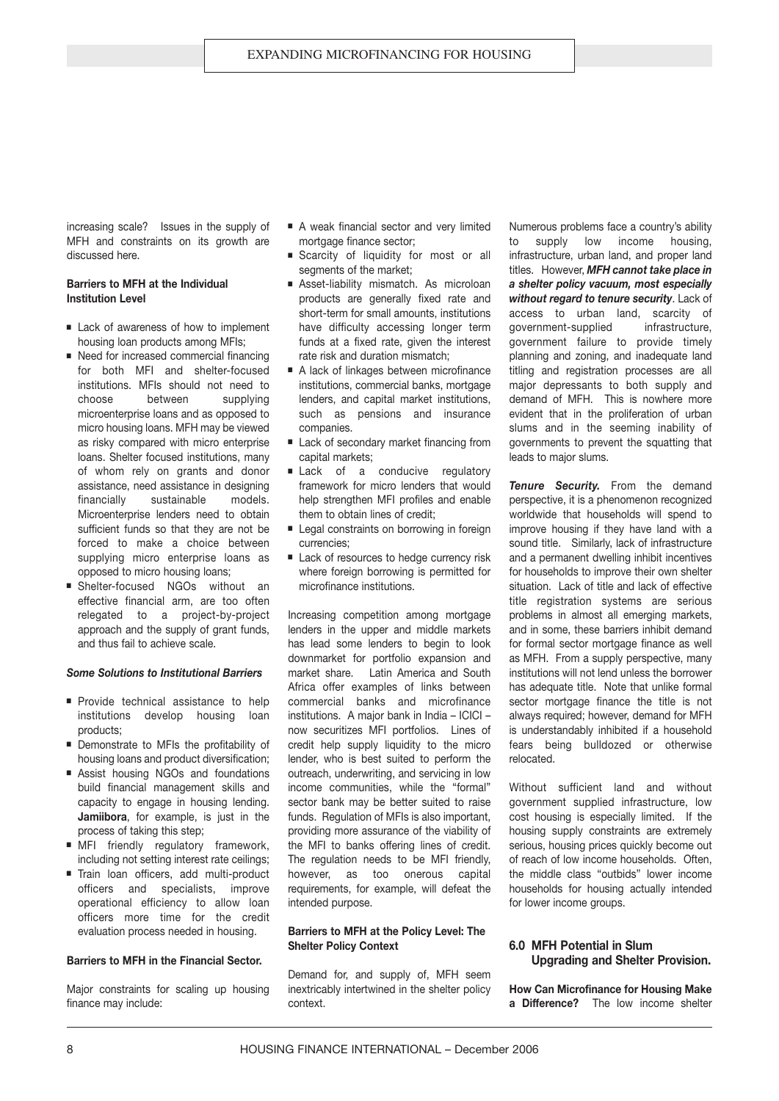increasing scale? Issues in the supply of MFH and constraints on its growth are discussed here.

#### **Barriers to MFH at the Individual Institution Level**

- Lack of awareness of how to implement housing loan products among MFIs;
- Need for increased commercial financing for both MFI and shelter-focused institutions. MFIs should not need to choose between supplying microenterprise loans and as opposed to micro housing loans. MFH may be viewed as risky compared with micro enterprise loans. Shelter focused institutions, many of whom rely on grants and donor assistance, need assistance in designing financially sustainable models. Microenterprise lenders need to obtain sufficient funds so that they are not be forced to make a choice between supplying micro enterprise loans as opposed to micro housing loans;
- Shelter-focused NGOs without an effective financial arm, are too often relegated to a project-by-project approach and the supply of grant funds, and thus fail to achieve scale.

#### *Some Solutions to Institutional Barriers*

- Provide technical assistance to help institutions develop housing loan products;
- Demonstrate to MFIs the profitability of housing loans and product diversification;
- Assist housing NGOs and foundations build financial management skills and capacity to engage in housing lending. **Jamiibora**, for example, is just in the process of taking this step;
- MFI friendly regulatory framework, including not setting interest rate ceilings;
- Train loan officers, add multi-product officers and specialists, improve operational efficiency to allow loan officers more time for the credit evaluation process needed in housing.

#### **Barriers to MFH in the Financial Sector.**

Major constraints for scaling up housing finance may include:

- A weak financial sector and very limited mortgage finance sector;
- Scarcity of liquidity for most or all segments of the market:
- Asset-liability mismatch. As microloan products are generally fixed rate and short-term for small amounts, institutions have difficulty accessing longer term funds at a fixed rate, given the interest rate risk and duration mismatch;
- A lack of linkages between microfinance institutions, commercial banks, mortgage lenders, and capital market institutions, such as pensions and insurance companies.
- Lack of secondary market financing from capital markets;
- Lack of a conducive regulatory framework for micro lenders that would help strengthen MFI profiles and enable them to obtain lines of credit;
- Legal constraints on borrowing in foreign currencies;
- Lack of resources to hedge currency risk where foreign borrowing is permitted for microfinance institutions.

Increasing competition among mortgage lenders in the upper and middle markets has lead some lenders to begin to look downmarket for portfolio expansion and market share. Latin America and South Africa offer examples of links between commercial banks and microfinance institutions. A major bank in India – ICICI – now securitizes MFI portfolios. Lines of credit help supply liquidity to the micro lender, who is best suited to perform the outreach, underwriting, and servicing in low income communities, while the "formal" sector bank may be better suited to raise funds. Regulation of MFIs is also important, providing more assurance of the viability of the MFI to banks offering lines of credit. The regulation needs to be MFI friendly, however, as too onerous capital requirements, for example, will defeat the intended purpose.

#### **Barriers to MFH at the Policy Level: The Shelter Policy Context**

Demand for, and supply of, MFH seem inextricably intertwined in the shelter policy context.

Numerous problems face a country's ability to supply low income housing, infrastructure, urban land, and proper land titles. However, *MFH cannot take place in a shelter policy vacuum, most especially without regard to tenure security*. Lack of access to urban land, scarcity of government-supplied infrastructure, government failure to provide timely planning and zoning, and inadequate land titling and registration processes are all major depressants to both supply and demand of MFH. This is nowhere more evident that in the proliferation of urban slums and in the seeming inability of governments to prevent the squatting that leads to major slums.

*Tenure Security.* From the demand perspective, it is a phenomenon recognized worldwide that households will spend to improve housing if they have land with a sound title. Similarly, lack of infrastructure and a permanent dwelling inhibit incentives for households to improve their own shelter situation. Lack of title and lack of effective title registration systems are serious problems in almost all emerging markets, and in some, these barriers inhibit demand for formal sector mortgage finance as well as MFH. From a supply perspective, many institutions will not lend unless the borrower has adequate title. Note that unlike formal sector mortgage finance the title is not always required; however, demand for MFH is understandably inhibited if a household fears being bulldozed or otherwise relocated.

Without sufficient land and without government supplied infrastructure, low cost housing is especially limited. If the housing supply constraints are extremely serious, housing prices quickly become out of reach of low income households. Often, the middle class "outbids" lower income households for housing actually intended for lower income groups.

#### **6.0 MFH Potential in Slum Upgrading and Shelter Provision.**

**How Can Microfinance for Housing Make a Difference?** The low income shelter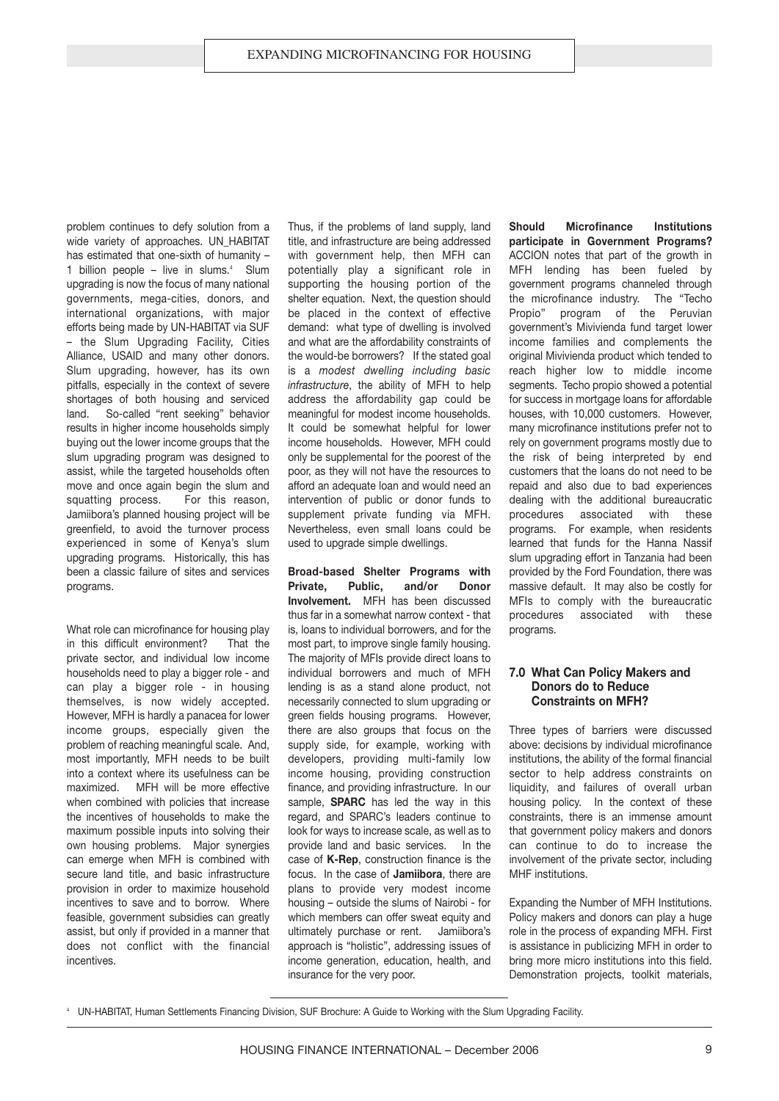problem continues to defy solution from a wide variety of approaches. UN\_HABITAT has estimated that one-sixth of humanity – 1 billion people – live in slums. $4$  Slum upgrading is now the focus of many national governments, mega-cities, donors, and international organizations, with major efforts being made by UN-HABITAT via SUF – the Slum Upgrading Facility, Cities Alliance, USAID and many other donors. Slum upgrading, however, has its own pitfalls, especially in the context of severe shortages of both housing and serviced land. So-called "rent seeking" behavior results in higher income households simply buying out the lower income groups that the slum upgrading program was designed to assist, while the targeted households often move and once again begin the slum and squatting process. For this reason, Jamiibora's planned housing project will be greenfield, to avoid the turnover process experienced in some of Kenya's slum upgrading programs. Historically, this has been a classic failure of sites and services programs.

What role can microfinance for housing play in this difficult environment? That the private sector, and individual low income households need to play a bigger role - and can play a bigger role - in housing themselves, is now widely accepted. However, MFH is hardly a panacea for lower income groups, especially given the problem of reaching meaningful scale. And, most importantly, MFH needs to be built into a context where its usefulness can be maximized. MFH will be more effective when combined with policies that increase the incentives of households to make the maximum possible inputs into solving their own housing problems. Major synergies can emerge when MFH is combined with secure land title, and basic infrastructure provision in order to maximize household incentives to save and to borrow. Where feasible, government subsidies can greatly assist, but only if provided in a manner that does not conflict with the financial incentives.

Thus, if the problems of land supply, land title, and infrastructure are being addressed with government help, then MFH can potentially play a significant role in supporting the housing portion of the shelter equation. Next, the question should be placed in the context of effective demand: what type of dwelling is involved and what are the affordability constraints of the would-be borrowers? If the stated goal is a *modest dwelling including basic infrastructure*, the ability of MFH to help address the affordability gap could be meaningful for modest income households. It could be somewhat helpful for lower income households. However, MFH could only be supplemental for the poorest of the poor, as they will not have the resources to afford an adequate loan and would need an intervention of public or donor funds to supplement private funding via MFH. Nevertheless, even small loans could be used to upgrade simple dwellings.

**Broad-based Shelter Programs with Private, Public, and/or Donor Involvement.** MFH has been discussed thus far in a somewhat narrow context - that is, loans to individual borrowers, and for the most part, to improve single family housing. The majority of MFIs provide direct loans to individual borrowers and much of MFH lending is as a stand alone product, not necessarily connected to slum upgrading or green fields housing programs. However, there are also groups that focus on the supply side, for example, working with developers, providing multi-family low income housing, providing construction finance, and providing infrastructure. In our sample, **SPARC** has led the way in this regard, and SPARC's leaders continue to look for ways to increase scale, as well as to provide land and basic services. In the case of **K-Rep**, construction finance is the focus. In the case of **Jamiibora**, there are plans to provide very modest income housing – outside the slums of Nairobi - for which members can offer sweat equity and ultimately purchase or rent. Jamiibora's approach is "holistic", addressing issues of income generation, education, health, and insurance for the very poor.

**Should Microfinance Institutions participate in Government Programs?** ACCION notes that part of the growth in MFH lending has been fueled by government programs channeled through the microfinance industry. The "Techo Propio" program of the Peruvian government's Mivivienda fund target lower income families and complements the original Mivivienda product which tended to reach higher low to middle income segments. Techo propio showed a potential for success in mortgage loans for affordable houses, with 10,000 customers. However, many microfinance institutions prefer not to rely on government programs mostly due to the risk of being interpreted by end customers that the loans do not need to be repaid and also due to bad experiences dealing with the additional bureaucratic procedures associated with these programs. For example, when residents learned that funds for the Hanna Nassif slum upgrading effort in Tanzania had been provided by the Ford Foundation, there was massive default. It may also be costly for MFIs to comply with the bureaucratic procedures associated with these programs.

#### **7.0 What Can Policy Makers and Donors do to Reduce Constraints on MFH?**

Three types of barriers were discussed above: decisions by individual microfinance institutions, the ability of the formal financial sector to help address constraints on liquidity, and failures of overall urban housing policy. In the context of these constraints, there is an immense amount that government policy makers and donors can continue to do to increase the involvement of the private sector, including MHF institutions.

Expanding the Number of MFH Institutions. Policy makers and donors can play a huge role in the process of expanding MFH. First is assistance in publicizing MFH in order to bring more micro institutions into this field. Demonstration projects, toolkit materials,

<sup>4</sup> UN-HABITAT, Human Settlements Financing Division, SUF Brochure: A Guide to Working with the Slum Upgrading Facility.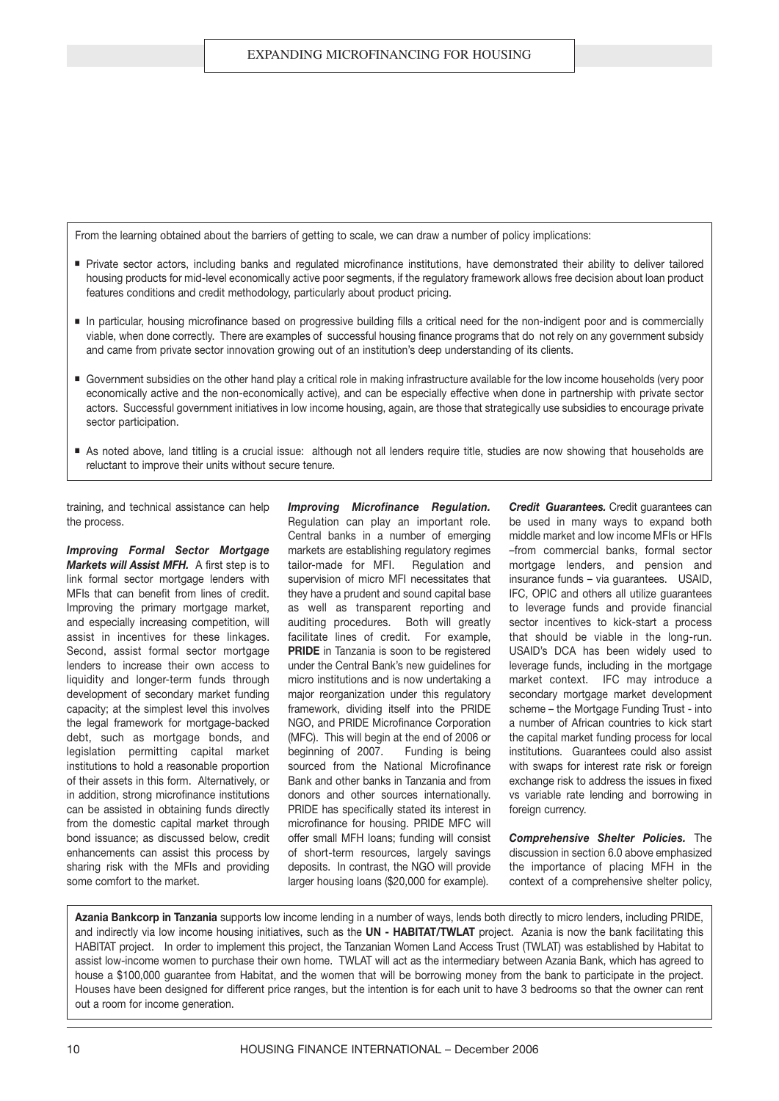From the learning obtained about the barriers of getting to scale, we can draw a number of policy implications:

- Private sector actors, including banks and regulated microfinance institutions, have demonstrated their ability to deliver tailored housing products for mid-level economically active poor segments, if the regulatory framework allows free decision about loan product features conditions and credit methodology, particularly about product pricing.
- In particular, housing microfinance based on progressive building fills a critical need for the non-indigent poor and is commercially viable, when done correctly. There are examples of successful housing finance programs that do not rely on any government subsidy and came from private sector innovation growing out of an institution's deep understanding of its clients.
- Government subsidies on the other hand play a critical role in making infrastructure available for the low income households (very poor economically active and the non-economically active), and can be especially effective when done in partnership with private sector actors. Successful government initiatives in low income housing, again, are those that strategically use subsidies to encourage private sector participation.
- As noted above, land titling is a crucial issue: although not all lenders require title, studies are now showing that households are reluctant to improve their units without secure tenure.

training, and technical assistance can help the process.

*Improving Formal Sector Mortgage Markets will Assist MFH.* A first step is to link formal sector mortgage lenders with MFIs that can benefit from lines of credit. Improving the primary mortgage market, and especially increasing competition, will assist in incentives for these linkages. Second, assist formal sector mortgage lenders to increase their own access to liquidity and longer-term funds through development of secondary market funding capacity; at the simplest level this involves the legal framework for mortgage-backed debt, such as mortgage bonds, and legislation permitting capital market institutions to hold a reasonable proportion of their assets in this form. Alternatively, or in addition, strong microfinance institutions can be assisted in obtaining funds directly from the domestic capital market through bond issuance; as discussed below, credit enhancements can assist this process by sharing risk with the MFIs and providing some comfort to the market.

*Improving Microfinance Regulation.* Regulation can play an important role. Central banks in a number of emerging markets are establishing regulatory regimes tailor-made for MFI. Regulation and supervision of micro MFI necessitates that they have a prudent and sound capital base as well as transparent reporting and auditing procedures. Both will greatly facilitate lines of credit. For example, **PRIDE** in Tanzania is soon to be registered under the Central Bank's new guidelines for micro institutions and is now undertaking a major reorganization under this regulatory framework, dividing itself into the PRIDE NGO, and PRIDE Microfinance Corporation (MFC). This will begin at the end of 2006 or beginning of 2007. Funding is being sourced from the National Microfinance Bank and other banks in Tanzania and from donors and other sources internationally. PRIDE has specifically stated its interest in microfinance for housing. PRIDE MFC will offer small MFH loans; funding will consist of short-term resources, largely savings deposits. In contrast, the NGO will provide larger housing loans (\$20,000 for example).

*Credit Guarantees.* Credit guarantees can be used in many ways to expand both middle market and low income MFIs or HFIs –from commercial banks, formal sector mortgage lenders, and pension and insurance funds – via guarantees. USAID, IFC, OPIC and others all utilize guarantees to leverage funds and provide financial sector incentives to kick-start a process that should be viable in the long-run. USAID's DCA has been widely used to leverage funds, including in the mortgage market context. IFC may introduce a secondary mortgage market development scheme – the Mortgage Funding Trust - into a number of African countries to kick start the capital market funding process for local institutions. Guarantees could also assist with swaps for interest rate risk or foreign exchange risk to address the issues in fixed vs variable rate lending and borrowing in foreign currency.

*Comprehensive Shelter Policies.* The discussion in section 6.0 above emphasized the importance of placing MFH in the context of a comprehensive shelter policy,

**Azania Bankcorp in Tanzania** supports low income lending in a number of ways, lends both directly to micro lenders, including PRIDE, and indirectly via low income housing initiatives, such as the **UN - HABITAT/TWLAT** project. Azania is now the bank facilitating this HABITAT project. In order to implement this project, the Tanzanian Women Land Access Trust (TWLAT) was established by Habitat to assist low-income women to purchase their own home. TWLAT will act as the intermediary between Azania Bank, which has agreed to house a \$100,000 guarantee from Habitat, and the women that will be borrowing money from the bank to participate in the project. Houses have been designed for different price ranges, but the intention is for each unit to have 3 bedrooms so that the owner can rent out a room for income generation.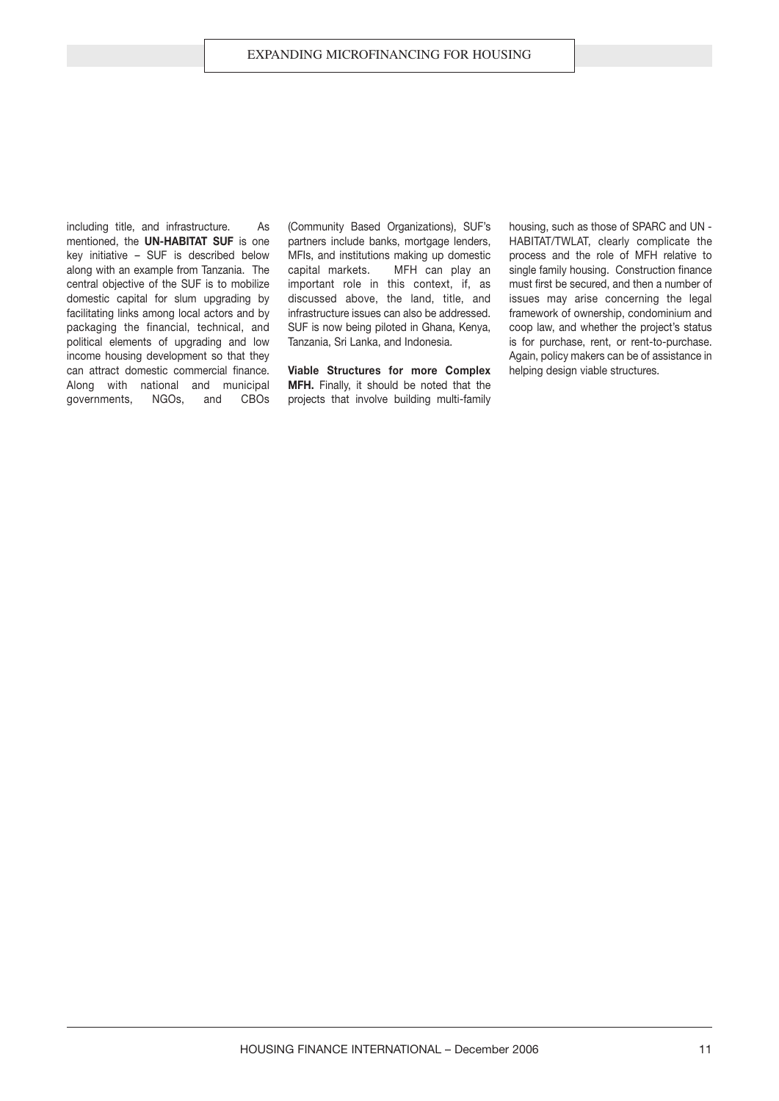including title, and infrastructure. As mentioned, the **UN-HABITAT SUF** is one key initiative – SUF is described below along with an example from Tanzania. The central objective of the SUF is to mobilize domestic capital for slum upgrading by facilitating links among local actors and by packaging the financial, technical, and political elements of upgrading and low income housing development so that they can attract domestic commercial finance. Along with national and municipal governments, NGOs, and CBOs

(Community Based Organizations), SUF's partners include banks, mortgage lenders, MFIs, and institutions making up domestic capital markets. MFH can play an important role in this context, if, as discussed above, the land, title, and infrastructure issues can also be addressed. SUF is now being piloted in Ghana, Kenya, Tanzania, Sri Lanka, and Indonesia.

**Viable Structures for more Complex MFH.** Finally, it should be noted that the projects that involve building multi-family housing, such as those of SPARC and UN - HABITAT/TWLAT, clearly complicate the process and the role of MFH relative to single family housing. Construction finance must first be secured, and then a number of issues may arise concerning the legal framework of ownership, condominium and coop law, and whether the project's status is for purchase, rent, or rent-to-purchase. Again, policy makers can be of assistance in helping design viable structures.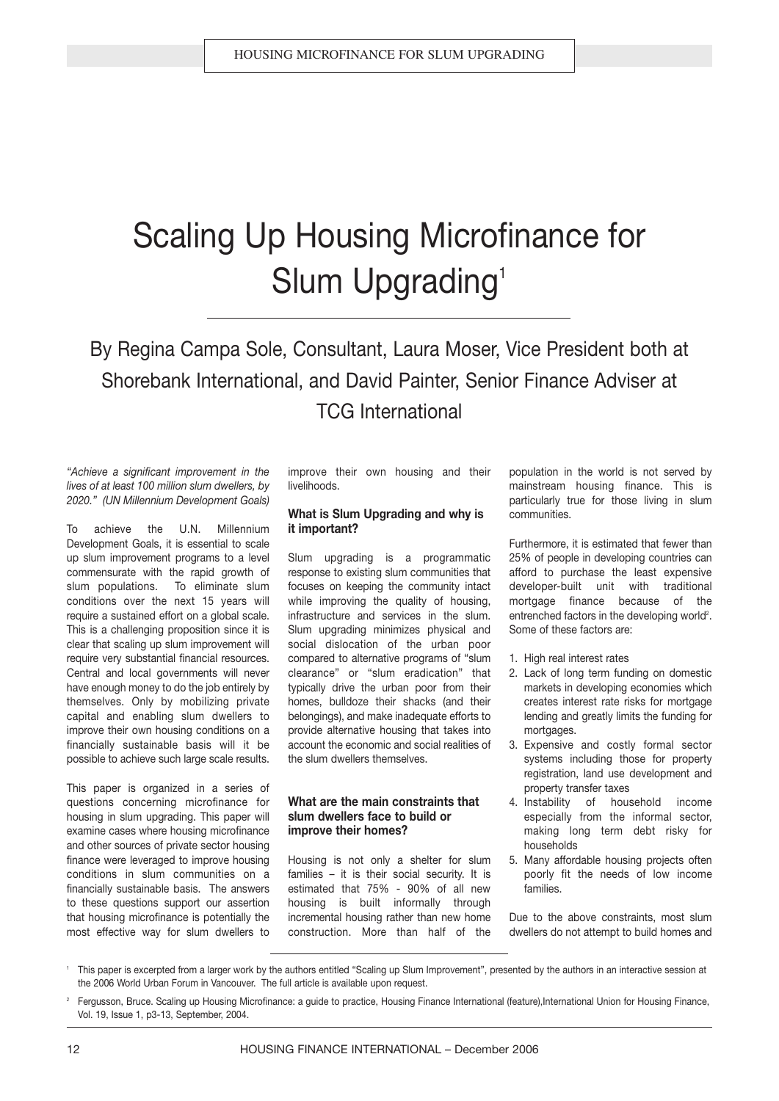# Scaling Up Housing Microfinance for Slum Upgrading<sup>1</sup>

By Regina Campa Sole, Consultant, Laura Moser, Vice President both at Shorebank International, and David Painter, Senior Finance Adviser at TCG International

#### *"Achieve a significant improvement in the lives of at least 100 million slum dwellers, by 2020." (UN Millennium Development Goals)*

To achieve the U.N. Millennium Development Goals, it is essential to scale up slum improvement programs to a level commensurate with the rapid growth of slum populations. To eliminate slum conditions over the next 15 years will require a sustained effort on a global scale. This is a challenging proposition since it is clear that scaling up slum improvement will require very substantial financial resources. Central and local governments will never have enough money to do the job entirely by themselves. Only by mobilizing private capital and enabling slum dwellers to improve their own housing conditions on a financially sustainable basis will it be possible to achieve such large scale results.

This paper is organized in a series of questions concerning microfinance for housing in slum upgrading. This paper will examine cases where housing microfinance and other sources of private sector housing finance were leveraged to improve housing conditions in slum communities on a financially sustainable basis. The answers to these questions support our assertion that housing microfinance is potentially the most effective way for slum dwellers to improve their own housing and their livelihoods.

#### **What is Slum Upgrading and why is it important?**

Slum upgrading is a programmatic response to existing slum communities that focuses on keeping the community intact while improving the quality of housing, infrastructure and services in the slum. Slum upgrading minimizes physical and social dislocation of the urban poor compared to alternative programs of "slum clearance" or "slum eradication" that typically drive the urban poor from their homes, bulldoze their shacks (and their belongings), and make inadequate efforts to provide alternative housing that takes into account the economic and social realities of the slum dwellers themselves.

#### **What are the main constraints that slum dwellers face to build or improve their homes?**

Housing is not only a shelter for slum families – it is their social security. It is estimated that 75% - 90% of all new housing is built informally through incremental housing rather than new home construction. More than half of the population in the world is not served by mainstream housing finance. This is particularly true for those living in slum communities.

Furthermore, it is estimated that fewer than 25% of people in developing countries can afford to purchase the least expensive developer-built unit with traditional mortgage finance because of the entrenched factors in the developing world $^2$ . Some of these factors are:

- 1. High real interest rates
- 2. Lack of long term funding on domestic markets in developing economies which creates interest rate risks for mortgage lending and greatly limits the funding for mortgages.
- 3. Expensive and costly formal sector systems including those for property registration, land use development and property transfer taxes
- 4. Instability of household income especially from the informal sector, making long term debt risky for households
- 5. Many affordable housing projects often poorly fit the needs of low income families.

Due to the above constraints, most slum dwellers do not attempt to build homes and

<sup>1</sup> This paper is excerpted from a larger work by the authors entitled "Scaling up Slum Improvement", presented by the authors in an interactive session at the 2006 World Urban Forum in Vancouver. The full article is available upon request.

Fergusson, Bruce. Scaling up Housing Microfinance: a guide to practice, Housing Finance International (feature),International Union for Housing Finance, Vol. 19, Issue 1, p3-13, September, 2004.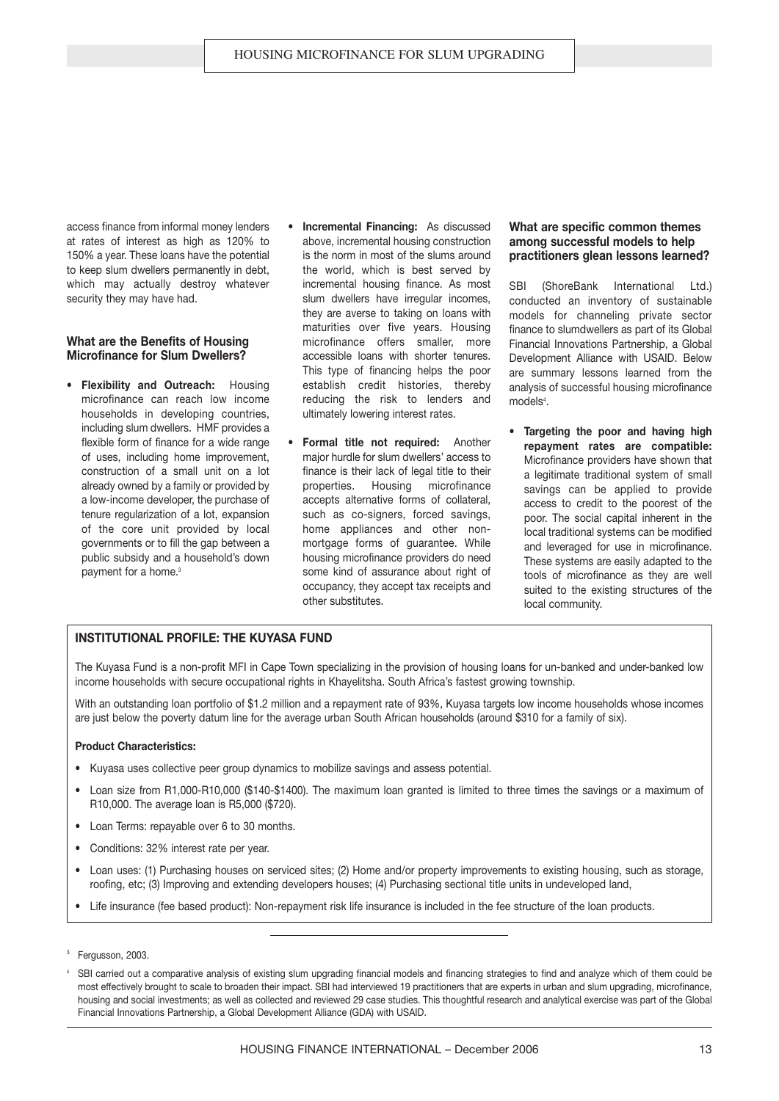access finance from informal money lenders at rates of interest as high as 120% to 150% a year. These loans have the potential to keep slum dwellers permanently in debt, which may actually destroy whatever security they may have had.

#### **What are the Benefits of Housing Microfinance for Slum Dwellers?**

- **Flexibility and Outreach:** Housing microfinance can reach low income households in developing countries, including slum dwellers. HMF provides a flexible form of finance for a wide range of uses, including home improvement, construction of a small unit on a lot already owned by a family or provided by a low-income developer, the purchase of tenure regularization of a lot, expansion of the core unit provided by local governments or to fill the gap between a public subsidy and a household's down payment for a home.<sup>3</sup>
- **• Incremental Financing:** As discussed above, incremental housing construction is the norm in most of the slums around the world, which is best served by incremental housing finance. As most slum dwellers have irregular incomes, they are averse to taking on loans with maturities over five years. Housing microfinance offers smaller, more accessible loans with shorter tenures. This type of financing helps the poor establish credit histories, thereby reducing the risk to lenders and ultimately lowering interest rates.
- **Formal title not required:** Another major hurdle for slum dwellers' access to finance is their lack of legal title to their properties. Housing microfinance accepts alternative forms of collateral, such as co-signers, forced savings, home appliances and other nonmortgage forms of guarantee. While housing microfinance providers do need some kind of assurance about right of occupancy, they accept tax receipts and other substitutes.

#### **What are specific common themes among successful models to help practitioners glean lessons learned?**

SBI (ShoreBank International Ltd.) conducted an inventory of sustainable models for channeling private sector finance to slumdwellers as part of its Global Financial Innovations Partnership, a Global Development Alliance with USAID. Below are summary lessons learned from the analysis of successful housing microfinance models<sup>4</sup>.

**• Targeting the poor and having high repayment rates are compatible:** Microfinance providers have shown that a legitimate traditional system of small savings can be applied to provide access to credit to the poorest of the poor. The social capital inherent in the local traditional systems can be modified and leveraged for use in microfinance. These systems are easily adapted to the tools of microfinance as they are well suited to the existing structures of the local community.

#### **INSTITUTIONAL PROFILE: THE KUYASA FUND**

The Kuyasa Fund is a non-profit MFI in Cape Town specializing in the provision of housing loans for un-banked and under-banked low income households with secure occupational rights in Khayelitsha. South Africa's fastest growing township.

With an outstanding loan portfolio of \$1.2 million and a repayment rate of 93%, Kuyasa targets low income households whose incomes are just below the poverty datum line for the average urban South African households (around \$310 for a family of six).

#### **Product Characteristics:**

- **•** Kuyasa uses collective peer group dynamics to mobilize savings and assess potential.
- **•** Loan size from R1,000-R10,000 (\$140-\$1400). The maximum loan granted is limited to three times the savings or a maximum of R10,000. The average loan is R5,000 (\$720).
- **•** Loan Terms: repayable over 6 to 30 months.
- **•** Conditions: 32% interest rate per year.
- **•** Loan uses: (1) Purchasing houses on serviced sites; (2) Home and/or property improvements to existing housing, such as storage, roofing, etc; (3) Improving and extending developers houses; (4) Purchasing sectional title units in undeveloped land,
- **•** Life insurance (fee based product): Non-repayment risk life insurance is included in the fee structure of the loan products.

<sup>&</sup>lt;sup>3</sup> Fergusson, 2003.

SBI carried out a comparative analysis of existing slum upgrading financial models and financing strategies to find and analyze which of them could be most effectively brought to scale to broaden their impact. SBI had interviewed 19 practitioners that are experts in urban and slum upgrading, microfinance, housing and social investments; as well as collected and reviewed 29 case studies. This thoughtful research and analytical exercise was part of the Global Financial Innovations Partnership, a Global Development Alliance (GDA) with USAID.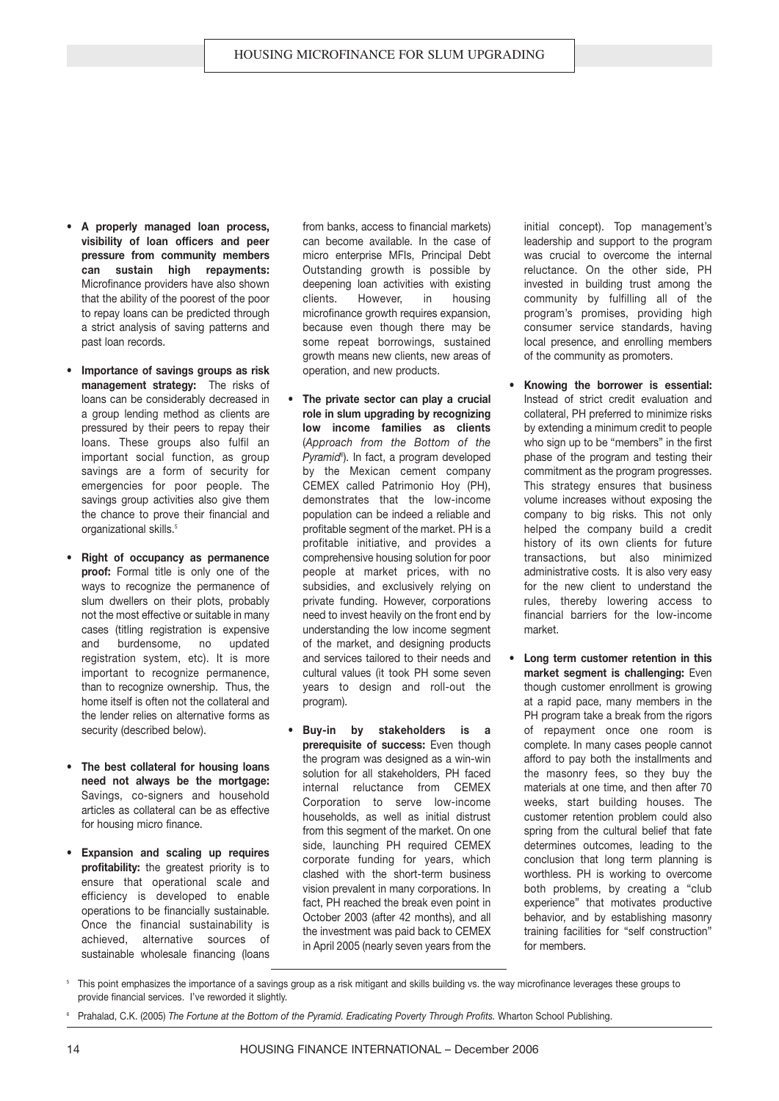- **• A properly managed loan process, visibility of loan officers and peer pressure from community members can sustain high repayments:** Microfinance providers have also shown that the ability of the poorest of the poor to repay loans can be predicted through a strict analysis of saving patterns and past loan records.
- **Importance of savings groups as risk management strategy:** The risks of loans can be considerably decreased in a group lending method as clients are pressured by their peers to repay their loans. These groups also fulfil an important social function, as group savings are a form of security for emergencies for poor people. The savings group activities also give them the chance to prove their financial and organizational skills.<sup>5</sup>
- **Right of occupancy as permanence proof:** Formal title is only one of the ways to recognize the permanence of slum dwellers on their plots, probably not the most effective or suitable in many cases (titling registration is expensive and burdensome, no updated registration system, etc). It is more important to recognize permanence. than to recognize ownership. Thus, the home itself is often not the collateral and the lender relies on alternative forms as security (described below).
- **The best collateral for housing loans need not always be the mortgage:** Savings, co-signers and household articles as collateral can be as effective for housing micro finance.
- **• Expansion and scaling up requires profitability:** the greatest priority is to ensure that operational scale and efficiency is developed to enable operations to be financially sustainable. Once the financial sustainability is achieved, alternative sources of sustainable wholesale financing (loans

from banks, access to financial markets) can become available. In the case of micro enterprise MFIs, Principal Debt Outstanding growth is possible by deepening loan activities with existing clients. However, in housing microfinance growth requires expansion. because even though there may be some repeat borrowings, sustained growth means new clients, new areas of operation, and new products.

- **The private sector can play a crucial role in slum upgrading by recognizing low income families as clients** (*Approach from the Bottom of the Pyramid*<sup>6</sup>). In fact, a program developed by the Mexican cement company CEMEX called Patrimonio Hoy (PH), demonstrates that the low-income population can be indeed a reliable and profitable segment of the market. PH is a profitable initiative, and provides a comprehensive housing solution for poor people at market prices, with no subsidies, and exclusively relying on private funding. However, corporations need to invest heavily on the front end by understanding the low income segment of the market, and designing products and services tailored to their needs and cultural values (it took PH some seven years to design and roll-out the program).
- **Buy-in by stakeholders is a prerequisite of success:** Even though the program was designed as a win-win solution for all stakeholders, PH faced internal reluctance from CEMEX Corporation to serve low-income households, as well as initial distrust from this segment of the market. On one side, launching PH required CEMEX corporate funding for years, which clashed with the short-term business vision prevalent in many corporations. In fact, PH reached the break even point in October 2003 (after 42 months), and all the investment was paid back to CEMEX in April 2005 (nearly seven years from the

initial concept). Top management's leadership and support to the program was crucial to overcome the internal reluctance. On the other side, PH invested in building trust among the community by fulfilling all of the program's promises, providing high consumer service standards, having local presence, and enrolling members of the community as promoters.

- **Knowing the borrower is essential:** Instead of strict credit evaluation and collateral, PH preferred to minimize risks by extending a minimum credit to people who sign up to be "members" in the first phase of the program and testing their commitment as the program progresses. This strategy ensures that business volume increases without exposing the company to big risks. This not only helped the company build a credit history of its own clients for future transactions, but also minimized administrative costs. It is also very easy for the new client to understand the rules, thereby lowering access to financial barriers for the low-income market.
- **Long term customer retention in this market segment is challenging:** Even though customer enrollment is growing at a rapid pace, many members in the PH program take a break from the rigors of repayment once one room is complete. In many cases people cannot afford to pay both the installments and the masonry fees, so they buy the materials at one time, and then after 70 weeks, start building houses. The customer retention problem could also spring from the cultural belief that fate determines outcomes, leading to the conclusion that long term planning is worthless. PH is working to overcome both problems, by creating a "club experience" that motivates productive behavior, and by establishing masonry training facilities for "self construction" for members.
- <sup>5</sup> This point emphasizes the importance of a savings group as a risk mitigant and skills building vs. the way microfinance leverages these groups to provide financial services. I've reworded it slightly.

<sup>6</sup> Prahalad, C.K. (2005) *The Fortune at the Bottom of the Pyramid. Eradicating Poverty Through Profits.* Wharton School Publishing.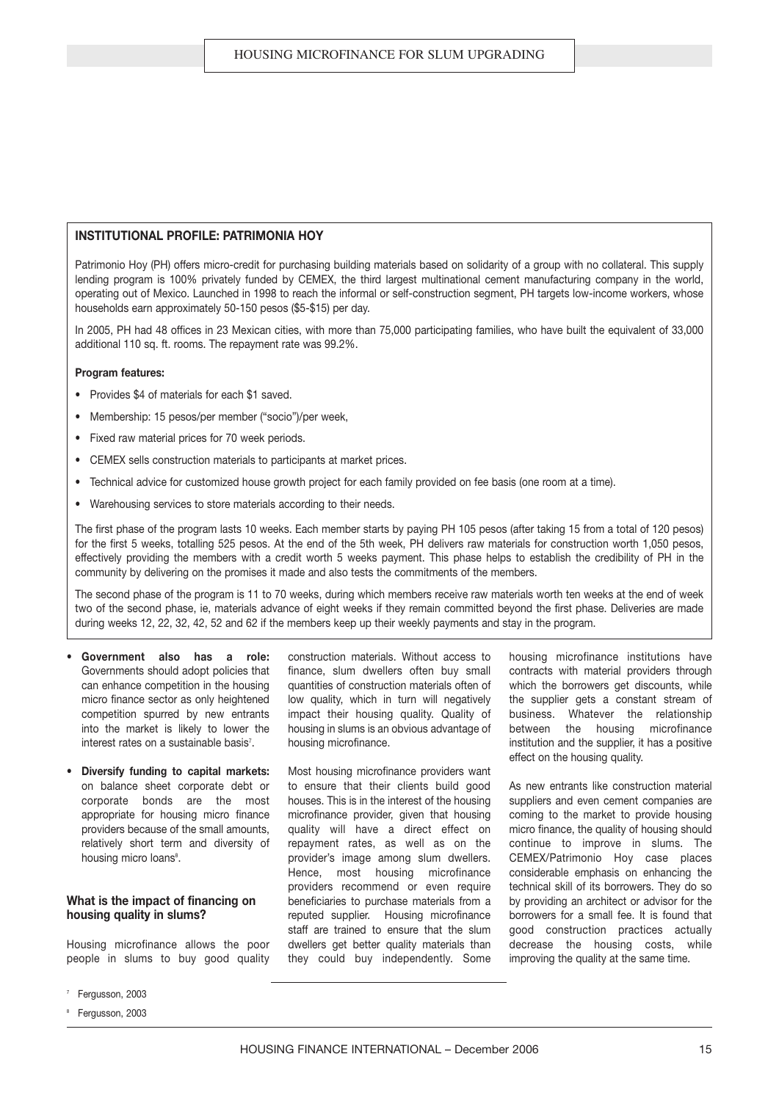#### **INSTITUTIONAL PROFILE: PATRIMONIA HOY**

Patrimonio Hoy (PH) offers micro-credit for purchasing building materials based on solidarity of a group with no collateral. This supply lending program is 100% privately funded by CEMEX, the third largest multinational cement manufacturing company in the world, operating out of Mexico. Launched in 1998 to reach the informal or self-construction segment, PH targets low-income workers, whose households earn approximately 50-150 pesos (\$5-\$15) per day.

In 2005, PH had 48 offices in 23 Mexican cities, with more than 75,000 participating families, who have built the equivalent of 33,000 additional 110 sq. ft. rooms. The repayment rate was 99.2%.

#### **Program features:**

- **•** Provides \$4 of materials for each \$1 saved.
- **•** Membership: 15 pesos/per member ("socio")/per week,
- **•** Fixed raw material prices for 70 week periods.
- **•** CEMEX sells construction materials to participants at market prices.
- **•** Technical advice for customized house growth project for each family provided on fee basis (one room at a time).
- **•** Warehousing services to store materials according to their needs.

The first phase of the program lasts 10 weeks. Each member starts by paying PH 105 pesos (after taking 15 from a total of 120 pesos) for the first 5 weeks, totalling 525 pesos. At the end of the 5th week, PH delivers raw materials for construction worth 1,050 pesos, effectively providing the members with a credit worth 5 weeks payment. This phase helps to establish the credibility of PH in the community by delivering on the promises it made and also tests the commitments of the members.

The second phase of the program is 11 to 70 weeks, during which members receive raw materials worth ten weeks at the end of week two of the second phase, ie, materials advance of eight weeks if they remain committed beyond the first phase. Deliveries are made during weeks 12, 22, 32, 42, 52 and 62 if the members keep up their weekly payments and stay in the program.

- **Government also has a role:** Governments should adopt policies that can enhance competition in the housing micro finance sector as only heightened competition spurred by new entrants into the market is likely to lower the interest rates on a sustainable basis<sup>7</sup>.
- **Diversify funding to capital markets:** on balance sheet corporate debt or corporate bonds are the most appropriate for housing micro finance providers because of the small amounts, relatively short term and diversity of housing micro loans<sup>8</sup>.

#### **What is the impact of financing on housing quality in slums?**

Housing microfinance allows the poor people in slums to buy good quality

- Fergusson, 2003
- Fergusson, 2003

construction materials. Without access to finance, slum dwellers often buy small quantities of construction materials often of low quality, which in turn will negatively impact their housing quality. Quality of housing in slums is an obvious advantage of housing microfinance.

Most housing microfinance providers want to ensure that their clients build good houses. This is in the interest of the housing microfinance provider, given that housing quality will have a direct effect on repayment rates, as well as on the provider's image among slum dwellers. Hence, most housing microfinance providers recommend or even require beneficiaries to purchase materials from a reputed supplier. Housing microfinance staff are trained to ensure that the slum dwellers get better quality materials than they could buy independently. Some

housing microfinance institutions have contracts with material providers through which the borrowers get discounts, while the supplier gets a constant stream of business. Whatever the relationship between the housing microfinance institution and the supplier, it has a positive effect on the housing quality.

As new entrants like construction material suppliers and even cement companies are coming to the market to provide housing micro finance, the quality of housing should continue to improve in slums. The CEMEX/Patrimonio Hoy case places considerable emphasis on enhancing the technical skill of its borrowers. They do so by providing an architect or advisor for the borrowers for a small fee. It is found that good construction practices actually decrease the housing costs, while improving the quality at the same time.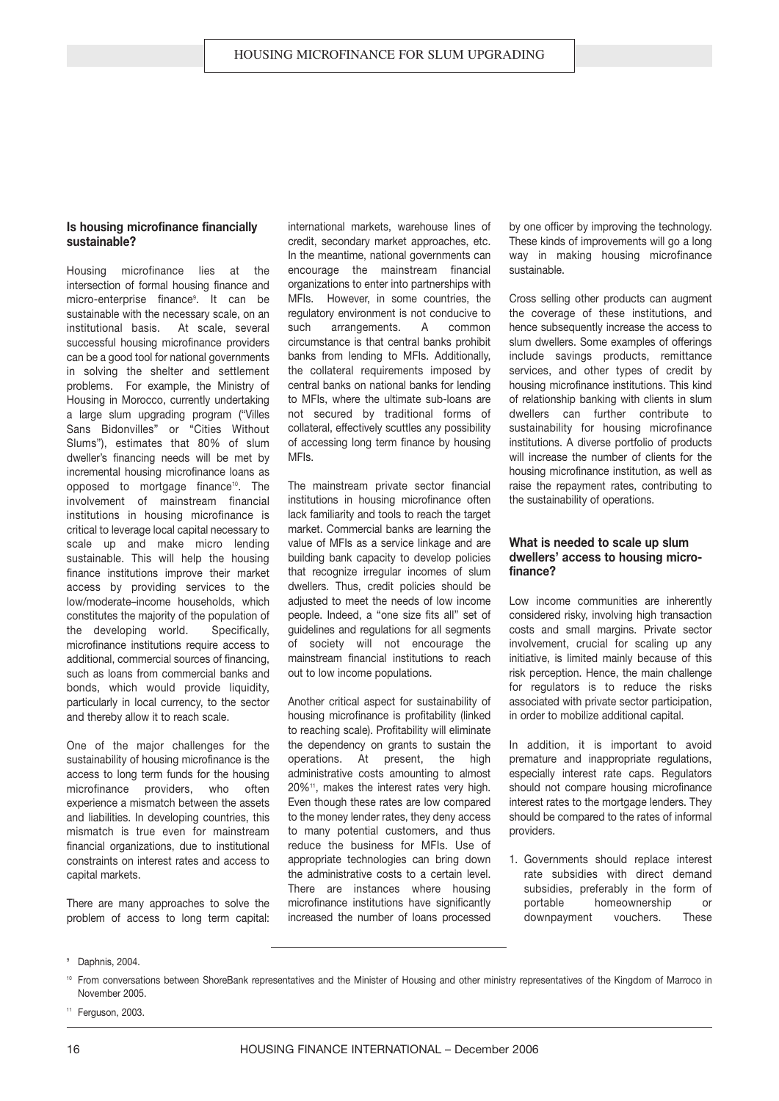#### **Is housing microfinance financially sustainable?**

Housing microfinance lies at the intersection of formal housing finance and micro-enterprise finance<sup>9</sup>. It can be sustainable with the necessary scale, on an institutional basis. At scale, several successful housing microfinance providers can be a good tool for national governments in solving the shelter and settlement problems. For example, the Ministry of Housing in Morocco, currently undertaking a large slum upgrading program ("Villes Sans Bidonvilles" or "Cities Without Slums"), estimates that 80% of slum dweller's financing needs will be met by incremental housing microfinance loans as opposed to mortgage finance<sup>10</sup>. The involvement of mainstream financial institutions in housing microfinance is critical to leverage local capital necessary to scale up and make micro lending sustainable. This will help the housing finance institutions improve their market access by providing services to the low/moderate–income households, which constitutes the majority of the population of the developing world. Specifically, microfinance institutions require access to additional, commercial sources of financing, such as loans from commercial banks and bonds, which would provide liquidity, particularly in local currency, to the sector and thereby allow it to reach scale.

One of the major challenges for the sustainability of housing microfinance is the access to long term funds for the housing microfinance providers, who often experience a mismatch between the assets and liabilities. In developing countries, this mismatch is true even for mainstream financial organizations, due to institutional constraints on interest rates and access to capital markets.

There are many approaches to solve the problem of access to long term capital:

international markets, warehouse lines of credit, secondary market approaches, etc. In the meantime, national governments can encourage the mainstream financial organizations to enter into partnerships with MFIs. However, in some countries, the regulatory environment is not conducive to such arrangements. A common circumstance is that central banks prohibit banks from lending to MFIs. Additionally, the collateral requirements imposed by central banks on national banks for lending to MFIs, where the ultimate sub-loans are not secured by traditional forms of collateral, effectively scuttles any possibility of accessing long term finance by housing MFIs.

The mainstream private sector financial institutions in housing microfinance often lack familiarity and tools to reach the target market. Commercial banks are learning the value of MFIs as a service linkage and are building bank capacity to develop policies that recognize irregular incomes of slum dwellers. Thus, credit policies should be adjusted to meet the needs of low income people. Indeed, a "one size fits all" set of guidelines and regulations for all segments of society will not encourage the mainstream financial institutions to reach out to low income populations.

Another critical aspect for sustainability of housing microfinance is profitability (linked to reaching scale). Profitability will eliminate the dependency on grants to sustain the operations. At present, the high administrative costs amounting to almost 20%<sup>11</sup>, makes the interest rates very high. Even though these rates are low compared to the money lender rates, they deny access to many potential customers, and thus reduce the business for MFIs. Use of appropriate technologies can bring down the administrative costs to a certain level. There are instances where housing microfinance institutions have significantly increased the number of loans processed

by one officer by improving the technology. These kinds of improvements will go a long way in making housing microfinance sustainable.

Cross selling other products can augment the coverage of these institutions, and hence subsequently increase the access to slum dwellers. Some examples of offerings include savings products, remittance services, and other types of credit by housing microfinance institutions. This kind of relationship banking with clients in slum dwellers can further contribute to sustainability for housing microfinance institutions. A diverse portfolio of products will increase the number of clients for the housing microfinance institution, as well as raise the repayment rates, contributing to the sustainability of operations.

#### **What is needed to scale up slum dwellers' access to housing microfinance?**

Low income communities are inherently considered risky, involving high transaction costs and small margins. Private sector involvement, crucial for scaling up any initiative, is limited mainly because of this risk perception. Hence, the main challenge for regulators is to reduce the risks associated with private sector participation, in order to mobilize additional capital.

In addition, it is important to avoid premature and inappropriate regulations, especially interest rate caps. Regulators should not compare housing microfinance interest rates to the mortgage lenders. They should be compared to the rates of informal providers.

1. Governments should replace interest rate subsidies with direct demand subsidies, preferably in the form of portable homeownership or downpayment vouchers. These

<sup>11</sup> Ferguson, 2003.

Daphnis, 2004.

<sup>10</sup> From conversations between ShoreBank representatives and the Minister of Housing and other ministry representatives of the Kingdom of Marroco in November 2005.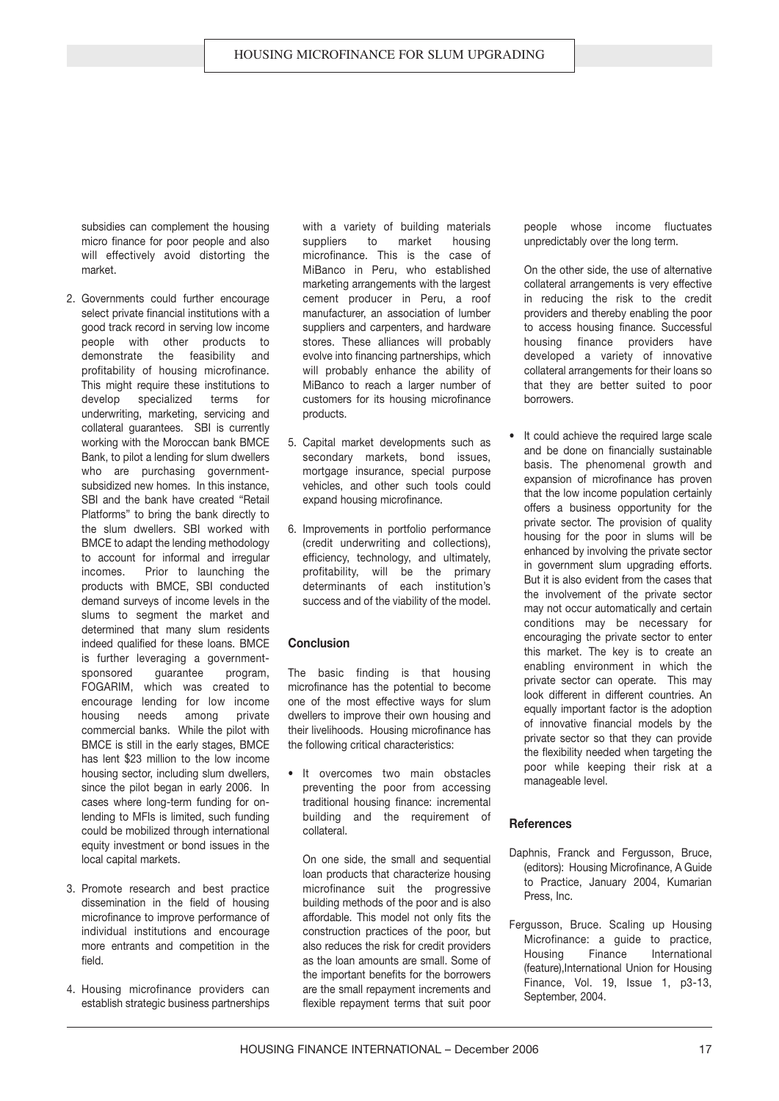subsidies can complement the housing micro finance for poor people and also will effectively avoid distorting the market.

- 2. Governments could further encourage select private financial institutions with a good track record in serving low income people with other products to demonstrate the feasibility and profitability of housing microfinance. This might require these institutions to develop specialized terms for underwriting, marketing, servicing and collateral guarantees. SBI is currently working with the Moroccan bank BMCE Bank, to pilot a lending for slum dwellers who are purchasing governmentsubsidized new homes. In this instance, SBI and the bank have created "Retail Platforms" to bring the bank directly to the slum dwellers. SBI worked with BMCE to adapt the lending methodology to account for informal and irregular incomes. Prior to launching the products with BMCE, SBI conducted demand surveys of income levels in the slums to segment the market and determined that many slum residents indeed qualified for these loans. BMCE is further leveraging a governmentsponsored quarantee program, FOGARIM, which was created to encourage lending for low income housing needs among private commercial banks. While the pilot with BMCE is still in the early stages, BMCE has lent \$23 million to the low income housing sector, including slum dwellers, since the pilot began in early 2006. In cases where long-term funding for onlending to MFIs is limited, such funding could be mobilized through international equity investment or bond issues in the local capital markets.
- 3. Promote research and best practice dissemination in the field of housing microfinance to improve performance of individual institutions and encourage more entrants and competition in the field.
- 4. Housing microfinance providers can establish strategic business partnerships

with a variety of building materials suppliers to market housing microfinance. This is the case of MiBanco in Peru, who established marketing arrangements with the largest cement producer in Peru, a roof manufacturer, an association of lumber suppliers and carpenters, and hardware stores. These alliances will probably evolve into financing partnerships, which will probably enhance the ability of MiBanco to reach a larger number of customers for its housing microfinance products.

- 5. Capital market developments such as secondary markets, bond issues, mortgage insurance, special purpose vehicles, and other such tools could expand housing microfinance.
- 6. Improvements in portfolio performance (credit underwriting and collections), efficiency, technology, and ultimately, profitability, will be the primary determinants of each institution's success and of the viability of the model.

#### **Conclusion**

The basic finding is that housing microfinance has the potential to become one of the most effective ways for slum dwellers to improve their own housing and their livelihoods. Housing microfinance has the following critical characteristics:

**•** It overcomes two main obstacles preventing the poor from accessing traditional housing finance: incremental building and the requirement of collateral.

On one side, the small and sequential loan products that characterize housing microfinance suit the progressive building methods of the poor and is also affordable. This model not only fits the construction practices of the poor, but also reduces the risk for credit providers as the loan amounts are small. Some of the important benefits for the borrowers are the small repayment increments and flexible repayment terms that suit poor people whose income fluctuates unpredictably over the long term.

On the other side, the use of alternative collateral arrangements is very effective in reducing the risk to the credit providers and thereby enabling the poor to access housing finance. Successful housing finance providers have developed a variety of innovative collateral arrangements for their loans so that they are better suited to poor borrowers.

**•** It could achieve the required large scale and be done on financially sustainable basis. The phenomenal growth and expansion of microfinance has proven that the low income population certainly offers a business opportunity for the private sector. The provision of quality housing for the poor in slums will be enhanced by involving the private sector in government slum upgrading efforts. But it is also evident from the cases that the involvement of the private sector may not occur automatically and certain conditions may be necessary for encouraging the private sector to enter this market. The key is to create an enabling environment in which the private sector can operate. This may look different in different countries. An equally important factor is the adoption of innovative financial models by the private sector so that they can provide the flexibility needed when targeting the poor while keeping their risk at a manageable level.

#### **References**

- Daphnis, Franck and Fergusson, Bruce, (editors): Housing Microfinance, A Guide to Practice, January 2004, Kumarian Press, Inc.
- Fergusson, Bruce. Scaling up Housing Microfinance: a guide to practice, Housing Finance International (feature),International Union for Housing Finance, Vol. 19, Issue 1, p3-13, September, 2004.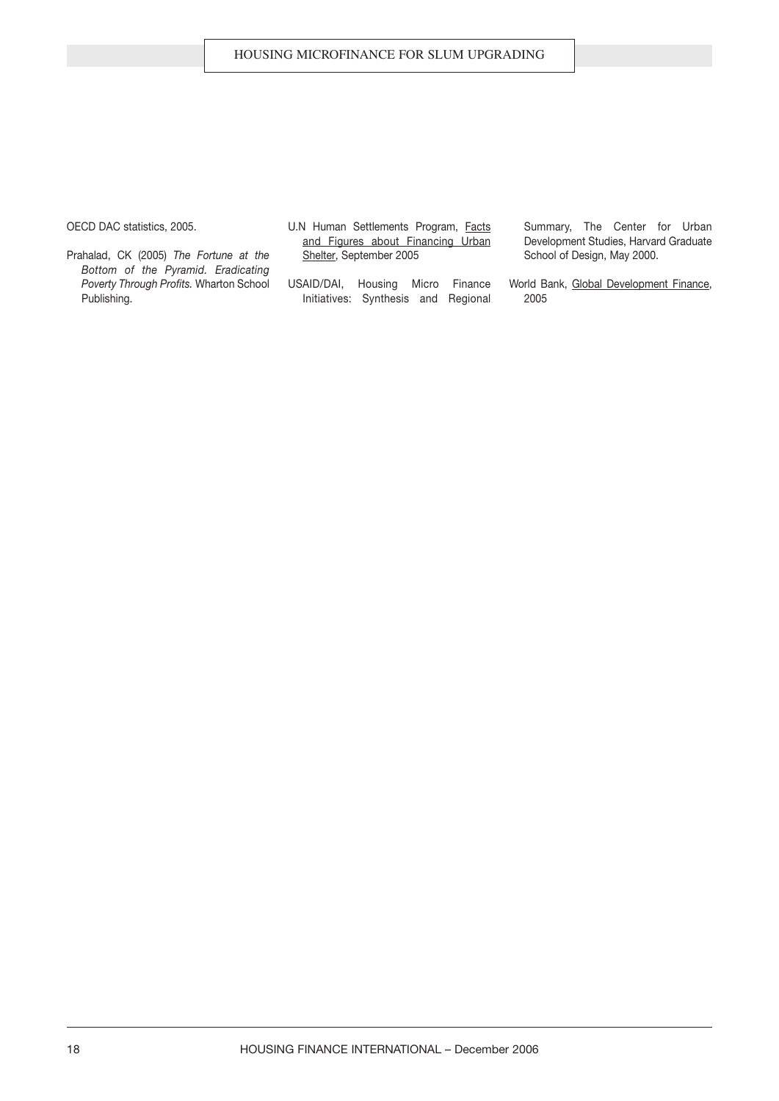OECD DAC statistics, 2005.

- Prahalad, CK (2005) *The Fortune at the Bottom of the Pyramid. Eradicating Poverty Through Profits.* Wharton School Publishing.
- U.N Human Settlements Program, Facts and Figures about Financing Urban Shelter, September 2005
- USAID/DAI, Housing Micro Finance Initiatives: Synthesis and Regional
- Summary, The Center for Urban Development Studies, Harvard Graduate School of Design, May 2000.
- World Bank, Global Development Finance, 2005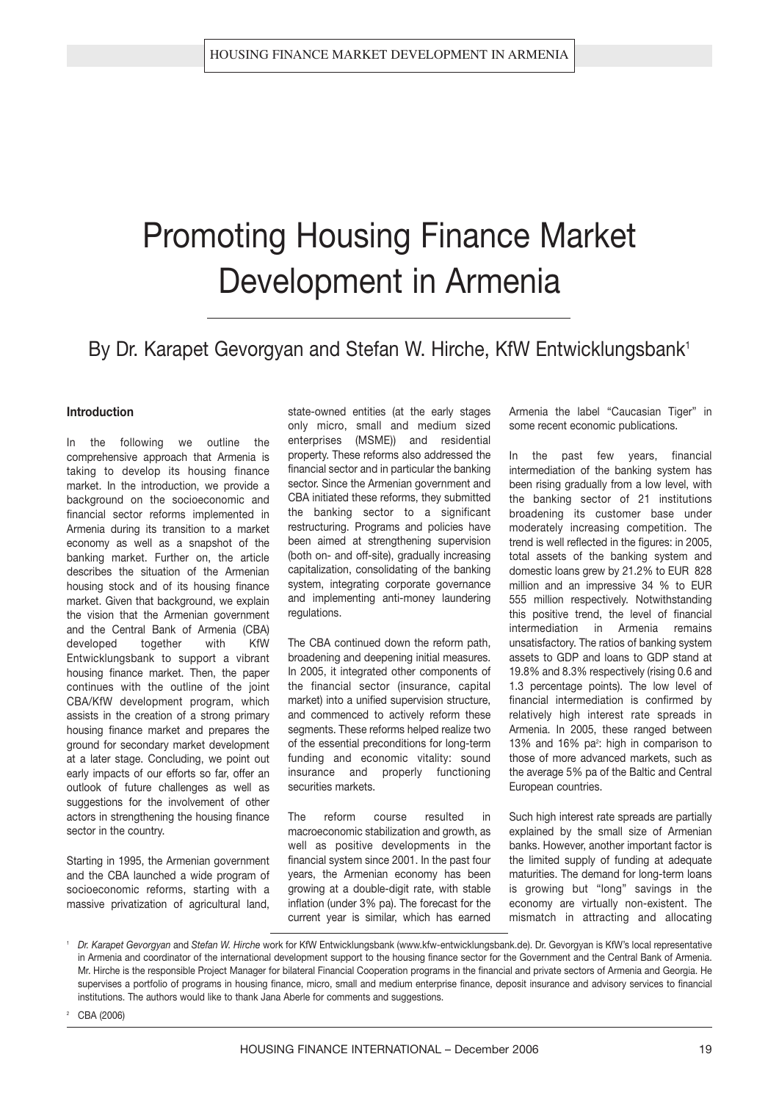# Promoting Housing Finance Market Development in Armenia

### By Dr. Karapet Gevorgyan and Stefan W. Hirche, KfW Entwicklungsbank<sup>1</sup>

#### **Introduction**

In the following we outline the comprehensive approach that Armenia is taking to develop its housing finance market. In the introduction, we provide a background on the socioeconomic and financial sector reforms implemented in Armenia during its transition to a market economy as well as a snapshot of the banking market. Further on, the article describes the situation of the Armenian housing stock and of its housing finance market. Given that background, we explain the vision that the Armenian government and the Central Bank of Armenia (CBA) developed together with KfW Entwicklungsbank to support a vibrant housing finance market. Then, the paper continues with the outline of the joint CBA/KfW development program, which assists in the creation of a strong primary housing finance market and prepares the ground for secondary market development at a later stage. Concluding, we point out early impacts of our efforts so far, offer an outlook of future challenges as well as suggestions for the involvement of other actors in strengthening the housing finance sector in the country.

Starting in 1995, the Armenian government and the CBA launched a wide program of socioeconomic reforms, starting with a massive privatization of agricultural land,

state-owned entities (at the early stages only micro, small and medium sized enterprises (MSME)) and residential property. These reforms also addressed the financial sector and in particular the banking sector. Since the Armenian government and CBA initiated these reforms, they submitted the banking sector to a significant restructuring. Programs and policies have been aimed at strengthening supervision (both on- and off-site), gradually increasing capitalization, consolidating of the banking system, integrating corporate governance and implementing anti-money laundering regulations.

The CBA continued down the reform path, broadening and deepening initial measures. In 2005, it integrated other components of the financial sector (insurance, capital market) into a unified supervision structure, and commenced to actively reform these segments. These reforms helped realize two of the essential preconditions for long-term funding and economic vitality: sound insurance and properly functioning securities markets.

The reform course resulted in macroeconomic stabilization and growth, as well as positive developments in the financial system since 2001. In the past four years, the Armenian economy has been growing at a double-digit rate, with stable inflation (under 3% pa). The forecast for the current year is similar, which has earned Armenia the label "Caucasian Tiger" in some recent economic publications.

In the past few years, financial intermediation of the banking system has been rising gradually from a low level, with the banking sector of 21 institutions broadening its customer base under moderately increasing competition. The trend is well reflected in the figures: in 2005, total assets of the banking system and domestic loans grew by 21.2% to EUR 828 million and an impressive 34 % to EUR 555 million respectively. Notwithstanding this positive trend, the level of financial intermediation in Armenia remains unsatisfactory. The ratios of banking system assets to GDP and loans to GDP stand at 19.8% and 8.3% respectively (rising 0.6 and 1.3 percentage points). The low level of financial intermediation is confirmed by relatively high interest rate spreads in Armenia. In 2005, these ranged between 13% and 16%  $pa^2$ : high in comparison to those of more advanced markets, such as the average 5% pa of the Baltic and Central European countries.

Such high interest rate spreads are partially explained by the small size of Armenian banks. However, another important factor is the limited supply of funding at adequate maturities. The demand for long-term loans is growing but "long" savings in the economy are virtually non-existent. The mismatch in attracting and allocating

CBA (2006)

<sup>1</sup> *Dr. Karapet Gevorgyan* and *Stefan W. Hirche* work for KfW Entwicklungsbank (www.kfw-entwicklungsbank.de). Dr. Gevorgyan is KfW's local representative in Armenia and coordinator of the international development support to the housing finance sector for the Government and the Central Bank of Armenia. Mr. Hirche is the responsible Project Manager for bilateral Financial Cooperation programs in the financial and private sectors of Armenia and Georgia. He supervises a portfolio of programs in housing finance, micro, small and medium enterprise finance, deposit insurance and advisory services to financial institutions. The authors would like to thank Jana Aberle for comments and suggestions.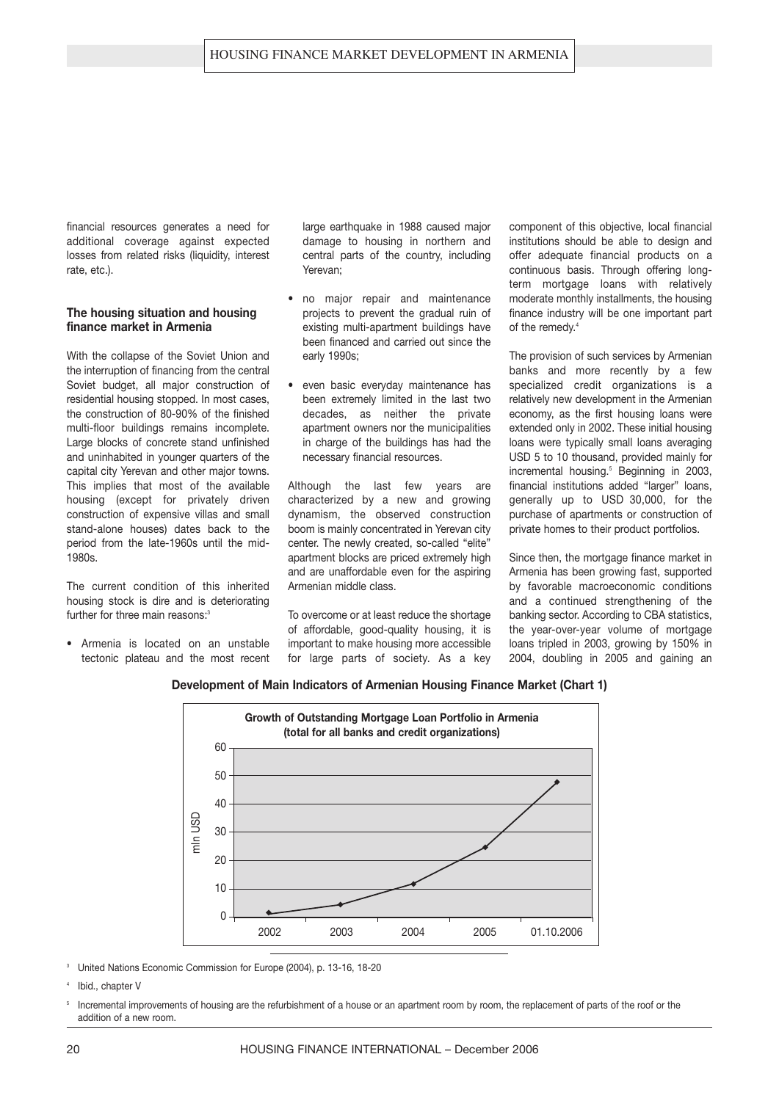financial resources generates a need for additional coverage against expected losses from related risks (liquidity, interest rate, etc.).

#### **The housing situation and housing finance market in Armenia**

With the collapse of the Soviet Union and the interruption of financing from the central Soviet budget, all major construction of residential housing stopped. In most cases, the construction of 80-90% of the finished multi-floor buildings remains incomplete. Large blocks of concrete stand unfinished and uninhabited in younger quarters of the capital city Yerevan and other major towns. This implies that most of the available housing (except for privately driven construction of expensive villas and small stand-alone houses) dates back to the period from the late-1960s until the mid-1980s.

The current condition of this inherited housing stock is dire and is deteriorating further for three main reasons:<sup>3</sup>

**•** Armenia is located on an unstable tectonic plateau and the most recent large earthquake in 1988 caused major damage to housing in northern and central parts of the country, including Yerevan;

- **•** no major repair and maintenance projects to prevent the gradual ruin of existing multi-apartment buildings have been financed and carried out since the early 1990s;
- **•** even basic everyday maintenance has been extremely limited in the last two decades, as neither the private apartment owners nor the municipalities in charge of the buildings has had the necessary financial resources.

Although the last few years are characterized by a new and growing dynamism, the observed construction boom is mainly concentrated in Yerevan city center. The newly created, so-called "elite" apartment blocks are priced extremely high and are unaffordable even for the aspiring Armenian middle class.

To overcome or at least reduce the shortage of affordable, good-quality housing, it is important to make housing more accessible for large parts of society. As a key component of this objective, local financial institutions should be able to design and offer adequate financial products on a continuous basis. Through offering longterm mortgage loans with relatively moderate monthly installments, the housing finance industry will be one important part of the remedy.<sup>4</sup>

The provision of such services by Armenian banks and more recently by a few specialized credit organizations is a relatively new development in the Armenian economy, as the first housing loans were extended only in 2002. These initial housing loans were typically small loans averaging USD 5 to 10 thousand, provided mainly for incremental housing.<sup>5</sup> Beginning in 2003, financial institutions added "larger" loans, generally up to USD 30,000, for the purchase of apartments or construction of private homes to their product portfolios.

Since then, the mortgage finance market in Armenia has been growing fast, supported by favorable macroeconomic conditions and a continued strengthening of the banking sector. According to CBA statistics, the year-over-year volume of mortgage loans tripled in 2003, growing by 150% in 2004, doubling in 2005 and gaining an

#### **Development of Main Indicators of Armenian Housing Finance Market (Chart 1)**



<sup>3</sup> United Nations Economic Commission for Europe (2004), p. 13-16, 18-20

20

<sup>4</sup> Ibid., chapter V

<sup>5</sup> Incremental improvements of housing are the refurbishment of a house or an apartment room by room, the replacement of parts of the roof or the addition of a new room.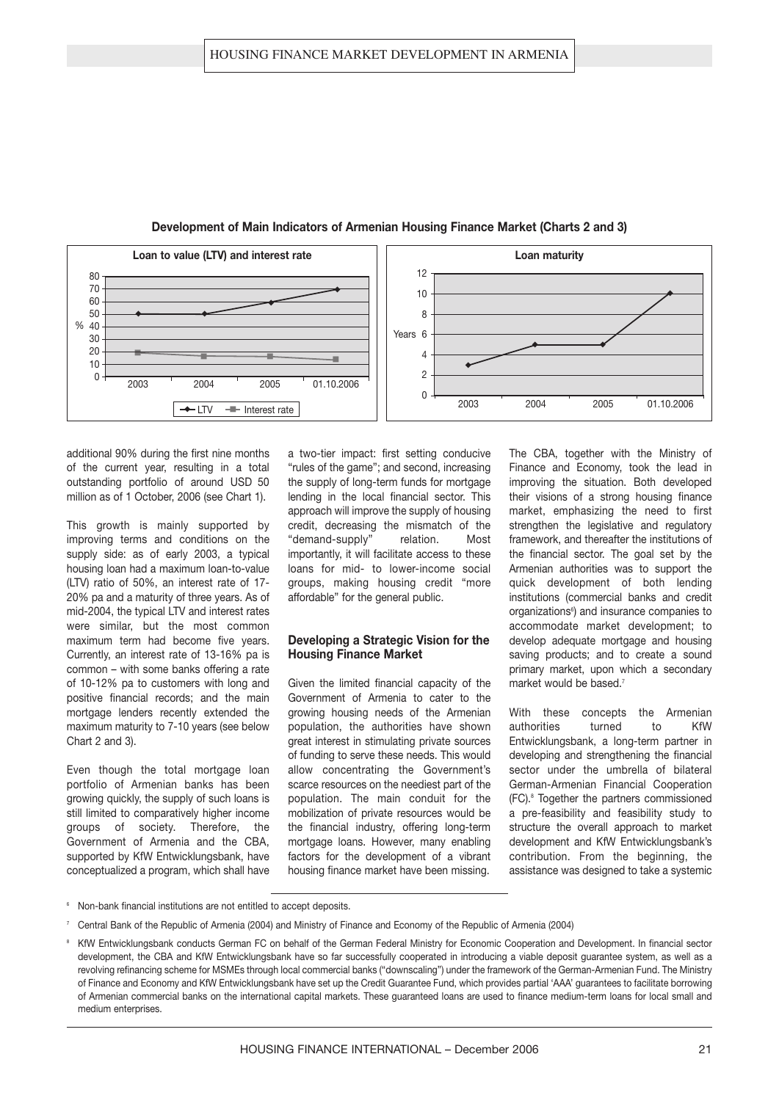

**Development of Main Indicators of Armenian Housing Finance Market (Charts 2 and 3)**

additional 90% during the first nine months of the current year, resulting in a total outstanding portfolio of around USD 50 million as of 1 October, 2006 (see Chart 1).

This growth is mainly supported by improving terms and conditions on the supply side: as of early 2003, a typical housing loan had a maximum loan-to-value (LTV) ratio of 50%, an interest rate of 17- 20% pa and a maturity of three years. As of mid-2004, the typical LTV and interest rates were similar, but the most common maximum term had become five years. Currently, an interest rate of 13-16% pa is common – with some banks offering a rate of 10-12% pa to customers with long and positive financial records; and the main mortgage lenders recently extended the maximum maturity to 7-10 years (see below Chart 2 and 3).

Even though the total mortgage loan portfolio of Armenian banks has been growing quickly, the supply of such loans is still limited to comparatively higher income groups of society. Therefore, the Government of Armenia and the CBA, supported by KfW Entwicklungsbank, have conceptualized a program, which shall have

a two-tier impact: first setting conducive "rules of the game"; and second, increasing the supply of long-term funds for mortgage lending in the local financial sector. This approach will improve the supply of housing credit, decreasing the mismatch of the "demand-supply" relation. Most importantly, it will facilitate access to these loans for mid- to lower-income social groups, making housing credit "more affordable" for the general public.

#### **Developing a Strategic Vision for the Housing Finance Market**

Given the limited financial capacity of the Government of Armenia to cater to the growing housing needs of the Armenian population, the authorities have shown great interest in stimulating private sources of funding to serve these needs. This would allow concentrating the Government's scarce resources on the neediest part of the population. The main conduit for the mobilization of private resources would be the financial industry, offering long-term mortgage loans. However, many enabling factors for the development of a vibrant housing finance market have been missing.

The CBA, together with the Ministry of Finance and Economy, took the lead in improving the situation. Both developed their visions of a strong housing finance market, emphasizing the need to first strengthen the legislative and regulatory framework, and thereafter the institutions of the financial sector. The goal set by the Armenian authorities was to support the quick development of both lending institutions (commercial banks and credit organizations<sup>®</sup>) and insurance companies to accommodate market development; to develop adequate mortgage and housing saving products; and to create a sound primary market, upon which a secondary market would be based.<sup>7</sup>

With these concepts the Armenian authorities turned to KfW Entwicklungsbank, a long-term partner in developing and strengthening the financial sector under the umbrella of bilateral German-Armenian Financial Cooperation (FC).<sup>8</sup> Together the partners commissioned a pre-feasibility and feasibility study to structure the overall approach to market development and KfW Entwicklungsbank's contribution. From the beginning, the assistance was designed to take a systemic

- <sup>6</sup> Non-bank financial institutions are not entitled to accept deposits.
- <sup>7</sup> Central Bank of the Republic of Armenia (2004) and Ministry of Finance and Economy of the Republic of Armenia (2004)
- <sup>8</sup> KfW Entwicklungsbank conducts German FC on behalf of the German Federal Ministry for Economic Cooperation and Development. In financial sector development, the CBA and KfW Entwicklungsbank have so far successfully cooperated in introducing a viable deposit guarantee system, as well as a revolving refinancing scheme for MSMEs through local commercial banks ("downscaling") under the framework of the German-Armenian Fund. The Ministry of Finance and Economy and KfW Entwicklungsbank have set up the Credit Guarantee Fund, which provides partial 'AAA' guarantees to facilitate borrowing of Armenian commercial banks on the international capital markets. These guaranteed loans are used to finance medium-term loans for local small and medium enterprises.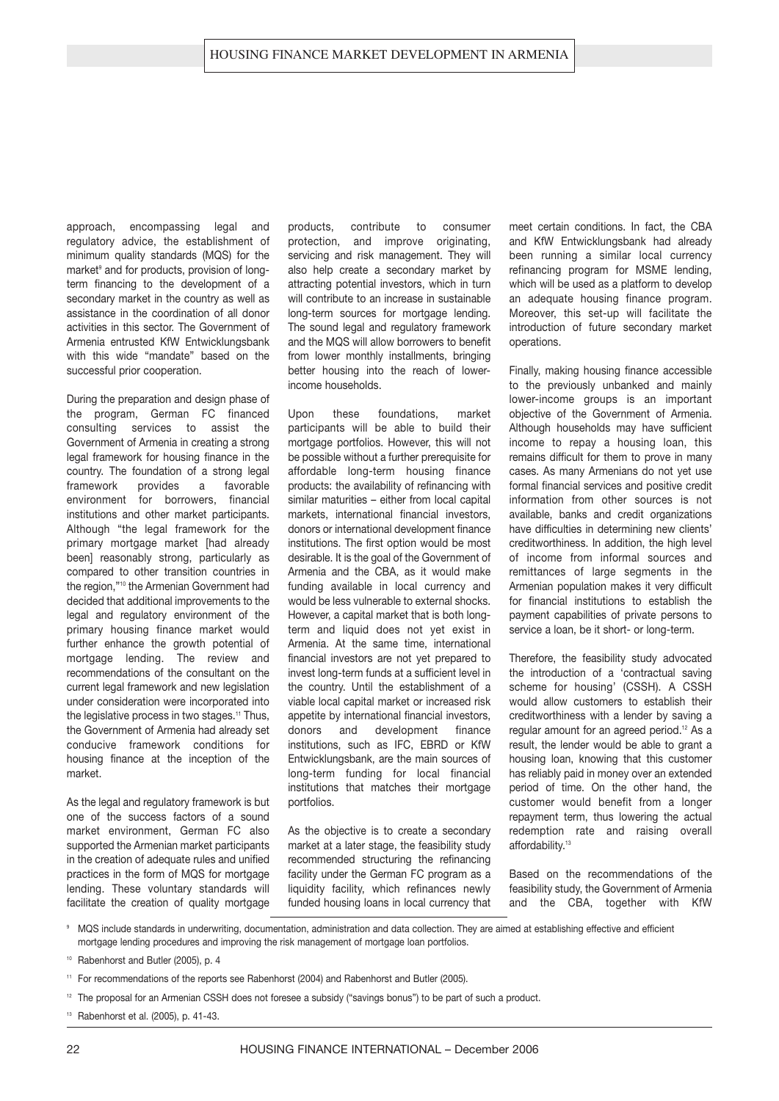approach, encompassing legal and regulatory advice, the establishment of minimum quality standards (MQS) for the market<sup>9</sup> and for products, provision of longterm financing to the development of a secondary market in the country as well as assistance in the coordination of all donor activities in this sector. The Government of Armenia entrusted KfW Entwicklungsbank with this wide "mandate" based on the successful prior cooperation.

During the preparation and design phase of the program, German FC financed consulting services to assist the Government of Armenia in creating a strong legal framework for housing finance in the country. The foundation of a strong legal framework provides a favorable environment for borrowers, financial institutions and other market participants. Although "the legal framework for the primary mortgage market [had already been] reasonably strong, particularly as compared to other transition countries in the region,"<sup>10</sup> the Armenian Government had decided that additional improvements to the legal and regulatory environment of the primary housing finance market would further enhance the growth potential of mortgage lending. The review and recommendations of the consultant on the current legal framework and new legislation under consideration were incorporated into the legislative process in two stages.<sup>11</sup> Thus, the Government of Armenia had already set conducive framework conditions for housing finance at the inception of the market.

As the legal and regulatory framework is but one of the success factors of a sound market environment, German FC also supported the Armenian market participants in the creation of adequate rules and unified practices in the form of MQS for mortgage lending. These voluntary standards will facilitate the creation of quality mortgage products, contribute to consumer protection, and improve originating, servicing and risk management. They will also help create a secondary market by attracting potential investors, which in turn will contribute to an increase in sustainable long-term sources for mortgage lending. The sound legal and regulatory framework and the MQS will allow borrowers to benefit from lower monthly installments, bringing better housing into the reach of lowerincome households.

Upon these foundations market participants will be able to build their mortgage portfolios. However, this will not be possible without a further prerequisite for affordable long-term housing finance products: the availability of refinancing with similar maturities – either from local capital markets, international financial investors, donors or international development finance institutions. The first option would be most desirable. It is the goal of the Government of Armenia and the CBA, as it would make funding available in local currency and would be less vulnerable to external shocks. However, a capital market that is both longterm and liquid does not yet exist in Armenia. At the same time, international financial investors are not yet prepared to invest long-term funds at a sufficient level in the country. Until the establishment of a viable local capital market or increased risk appetite by international financial investors, donors and development finance institutions, such as IFC, EBRD or KfW Entwicklungsbank, are the main sources of long-term funding for local financial institutions that matches their mortgage portfolios.

As the objective is to create a secondary market at a later stage, the feasibility study recommended structuring the refinancing facility under the German FC program as a liquidity facility, which refinances newly funded housing loans in local currency that

meet certain conditions. In fact, the CBA and KfW Entwicklungsbank had already been running a similar local currency refinancing program for MSME lending, which will be used as a platform to develop an adequate housing finance program. Moreover, this set-up will facilitate the introduction of future secondary market operations.

Finally, making housing finance accessible to the previously unbanked and mainly lower-income groups is an important objective of the Government of Armenia. Although households may have sufficient income to repay a housing loan, this remains difficult for them to prove in many cases. As many Armenians do not yet use formal financial services and positive credit information from other sources is not available, banks and credit organizations have difficulties in determining new clients' creditworthiness. In addition, the high level of income from informal sources and remittances of large segments in the Armenian population makes it very difficult for financial institutions to establish the payment capabilities of private persons to service a loan, be it short- or long-term.

Therefore, the feasibility study advocated the introduction of a 'contractual saving scheme for housing' (CSSH). A CSSH would allow customers to establish their creditworthiness with a lender by saving a regular amount for an agreed period.<sup>12</sup> As a result, the lender would be able to grant a housing loan, knowing that this customer has reliably paid in money over an extended period of time. On the other hand, the customer would benefit from a longer repayment term, thus lowering the actual redemption rate and raising overall affordability.<sup>13</sup>

Based on the recommendations of the feasibility study, the Government of Armenia and the CBA, together with KfW

<sup>9</sup> MQS include standards in underwriting, documentation, administration and data collection. They are aimed at establishing effective and efficient mortgage lending procedures and improving the risk management of mortgage loan portfolios.

- <sup>10</sup> Rabenhorst and Butler (2005), p. 4
- <sup>11</sup> For recommendations of the reports see Rabenhorst (2004) and Rabenhorst and Butler (2005).
- <sup>12</sup> The proposal for an Armenian CSSH does not foresee a subsidy ("savings bonus") to be part of such a product.
- <sup>13</sup> Rabenhorst et al. (2005), p. 41-43.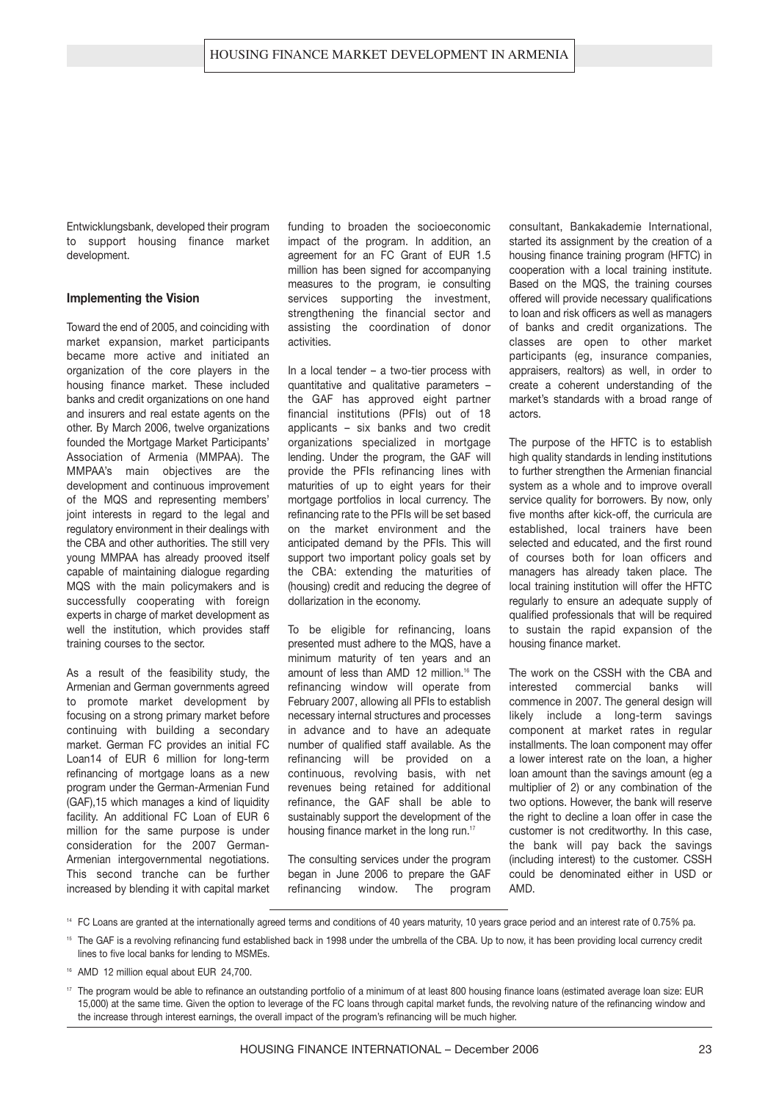Entwicklungsbank, developed their program to support housing finance market development.

#### **Implementing the Vision**

Toward the end of 2005, and coinciding with market expansion, market participants became more active and initiated an organization of the core players in the housing finance market. These included banks and credit organizations on one hand and insurers and real estate agents on the other. By March 2006, twelve organizations founded the Mortgage Market Participants' Association of Armenia (MMPAA). The MMPAA's main objectives are the development and continuous improvement of the MQS and representing members' joint interests in regard to the legal and regulatory environment in their dealings with the CBA and other authorities. The still very young MMPAA has already prooved itself capable of maintaining dialogue regarding MQS with the main policymakers and is successfully cooperating with foreign experts in charge of market development as well the institution, which provides staff training courses to the sector.

As a result of the feasibility study, the Armenian and German governments agreed to promote market development by focusing on a strong primary market before continuing with building a secondary market. German FC provides an initial FC Loan14 of EUR 6 million for long-term refinancing of mortgage loans as a new program under the German-Armenian Fund (GAF),15 which manages a kind of liquidity facility. An additional FC Loan of EUR 6 million for the same purpose is under consideration for the 2007 German-Armenian intergovernmental negotiations. This second tranche can be further increased by blending it with capital market

funding to broaden the socioeconomic impact of the program. In addition, an agreement for an FC Grant of EUR 1.5 million has been signed for accompanying measures to the program, ie consulting services supporting the investment, strengthening the financial sector and assisting the coordination of donor activities.

In a local tender  $-$  a two-tier process with quantitative and qualitative parameters – the GAF has approved eight partner financial institutions (PFIs) out of 18 applicants – six banks and two credit organizations specialized in mortgage lending. Under the program, the GAF will provide the PFIs refinancing lines with maturities of up to eight years for their mortgage portfolios in local currency. The refinancing rate to the PFIs will be set based on the market environment and the anticipated demand by the PFIs. This will support two important policy goals set by the CBA: extending the maturities of (housing) credit and reducing the degree of dollarization in the economy.

To be eligible for refinancing, loans presented must adhere to the MQS, have a minimum maturity of ten years and an amount of less than AMD 12 million.<sup>16</sup> The refinancing window will operate from February 2007, allowing all PFIs to establish necessary internal structures and processes in advance and to have an adequate number of qualified staff available. As the refinancing will be provided on a continuous, revolving basis, with net revenues being retained for additional refinance, the GAF shall be able to sustainably support the development of the housing finance market in the long run.<sup>17</sup>

The consulting services under the program began in June 2006 to prepare the GAF refinancing window. The program consultant, Bankakademie International, started its assignment by the creation of a housing finance training program (HFTC) in cooperation with a local training institute. Based on the MQS, the training courses offered will provide necessary qualifications to loan and risk officers as well as managers of banks and credit organizations. The classes are open to other market participants (eg, insurance companies, appraisers, realtors) as well, in order to create a coherent understanding of the market's standards with a broad range of actors.

The purpose of the HFTC is to establish high quality standards in lending institutions to further strengthen the Armenian financial system as a whole and to improve overall service quality for borrowers. By now, only five months after kick-off, the curricula are established, local trainers have been selected and educated, and the first round of courses both for loan officers and managers has already taken place. The local training institution will offer the HFTC regularly to ensure an adequate supply of qualified professionals that will be required to sustain the rapid expansion of the housing finance market.

The work on the CSSH with the CBA and interested commercial banks will commence in 2007. The general design will likely include a long-term savings component at market rates in regular installments. The loan component may offer a lower interest rate on the loan, a higher loan amount than the savings amount (eg a multiplier of 2) or any combination of the two options. However, the bank will reserve the right to decline a loan offer in case the customer is not creditworthy. In this case, the bank will pay back the savings (including interest) to the customer. CSSH could be denominated either in USD or AMD.

<sup>15</sup> The GAF is a revolving refinancing fund established back in 1998 under the umbrella of the CBA. Up to now, it has been providing local currency credit lines to five local banks for lending to MSMEs.

<sup>16</sup> AMD 12 million equal about EUR 24,700.

<sup>&</sup>lt;sup>14</sup> FC Loans are granted at the internationally agreed terms and conditions of 40 years maturity, 10 years grace period and an interest rate of 0.75% pa.

<sup>&</sup>lt;sup>17</sup> The program would be able to refinance an outstanding portfolio of a minimum of at least 800 housing finance loans (estimated average loan size: EUR 15,000) at the same time. Given the option to leverage of the FC loans through capital market funds, the revolving nature of the refinancing window and the increase through interest earnings, the overall impact of the program's refinancing will be much higher.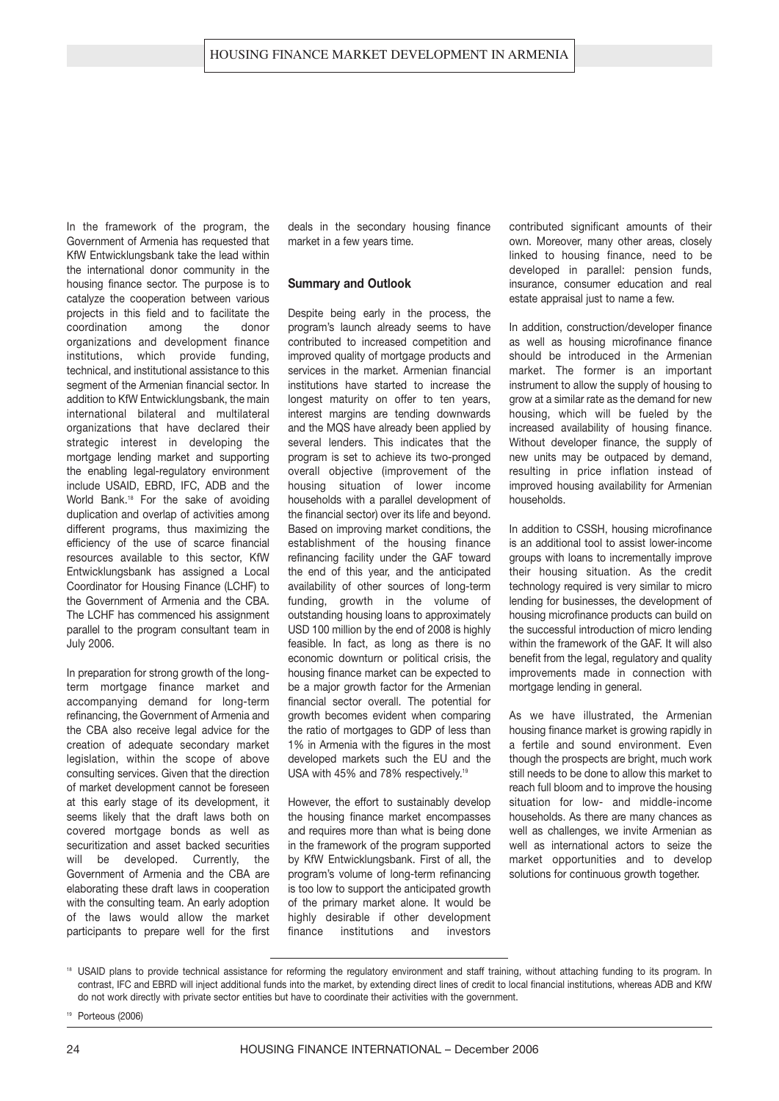In the framework of the program, the Government of Armenia has requested that KfW Entwicklungsbank take the lead within the international donor community in the housing finance sector. The purpose is to catalyze the cooperation between various projects in this field and to facilitate the coordination among the donor organizations and development finance institutions, which provide funding, technical, and institutional assistance to this segment of the Armenian financial sector. In addition to KfW Entwicklungsbank, the main international bilateral and multilateral organizations that have declared their strategic interest in developing the mortgage lending market and supporting the enabling legal-regulatory environment include USAID, EBRD, IFC, ADB and the World Bank.<sup>18</sup> For the sake of avoiding duplication and overlap of activities among different programs, thus maximizing the efficiency of the use of scarce financial resources available to this sector, KfW Entwicklungsbank has assigned a Local Coordinator for Housing Finance (LCHF) to the Government of Armenia and the CBA. The LCHF has commenced his assignment parallel to the program consultant team in July 2006.

In preparation for strong growth of the longterm mortgage finance market and accompanying demand for long-term refinancing, the Government of Armenia and the CBA also receive legal advice for the creation of adequate secondary market legislation, within the scope of above consulting services. Given that the direction of market development cannot be foreseen at this early stage of its development, it seems likely that the draft laws both on covered mortgage bonds as well as securitization and asset backed securities will be developed. Currently, the Government of Armenia and the CBA are elaborating these draft laws in cooperation with the consulting team. An early adoption of the laws would allow the market participants to prepare well for the first deals in the secondary housing finance market in a few years time.

#### **Summary and Outlook**

Despite being early in the process, the program's launch already seems to have contributed to increased competition and improved quality of mortgage products and services in the market. Armenian financial institutions have started to increase the longest maturity on offer to ten years, interest margins are tending downwards and the MQS have already been applied by several lenders. This indicates that the program is set to achieve its two-pronged overall objective (improvement of the housing situation of lower income households with a parallel development of the financial sector) over its life and beyond. Based on improving market conditions, the establishment of the housing finance refinancing facility under the GAF toward the end of this year, and the anticipated availability of other sources of long-term funding, growth in the volume of outstanding housing loans to approximately USD 100 million by the end of 2008 is highly feasible. In fact, as long as there is no economic downturn or political crisis, the housing finance market can be expected to be a major growth factor for the Armenian financial sector overall. The potential for growth becomes evident when comparing the ratio of mortgages to GDP of less than 1% in Armenia with the figures in the most developed markets such the EU and the USA with 45% and 78% respectively.<sup>19</sup>

However, the effort to sustainably develop the housing finance market encompasses and requires more than what is being done in the framework of the program supported by KfW Entwicklungsbank. First of all, the program's volume of long-term refinancing is too low to support the anticipated growth of the primary market alone. It would be highly desirable if other development finance institutions and investors contributed significant amounts of their own. Moreover, many other areas, closely linked to housing finance, need to be developed in parallel: pension funds, insurance, consumer education and real estate appraisal just to name a few.

In addition, construction/developer finance as well as housing microfinance finance should be introduced in the Armenian market. The former is an important instrument to allow the supply of housing to grow at a similar rate as the demand for new housing, which will be fueled by the increased availability of housing finance. Without developer finance, the supply of new units may be outpaced by demand, resulting in price inflation instead of improved housing availability for Armenian households.

In addition to CSSH, housing microfinance is an additional tool to assist lower-income groups with loans to incrementally improve their housing situation. As the credit technology required is very similar to micro lending for businesses, the development of housing microfinance products can build on the successful introduction of micro lending within the framework of the GAF. It will also benefit from the legal, regulatory and quality improvements made in connection with mortgage lending in general.

As we have illustrated, the Armenian housing finance market is growing rapidly in a fertile and sound environment. Even though the prospects are bright, much work still needs to be done to allow this market to reach full bloom and to improve the housing situation for low- and middle-income households. As there are many chances as well as challenges, we invite Armenian as well as international actors to seize the market opportunities and to develop solutions for continuous growth together.

<sup>18</sup> USAID plans to provide technical assistance for reforming the regulatory environment and staff training, without attaching funding to its program. In contrast, IFC and EBRD will inject additional funds into the market, by extending direct lines of credit to local financial institutions, whereas ADB and KfW do not work directly with private sector entities but have to coordinate their activities with the government.

<sup>19</sup> Porteous (2006)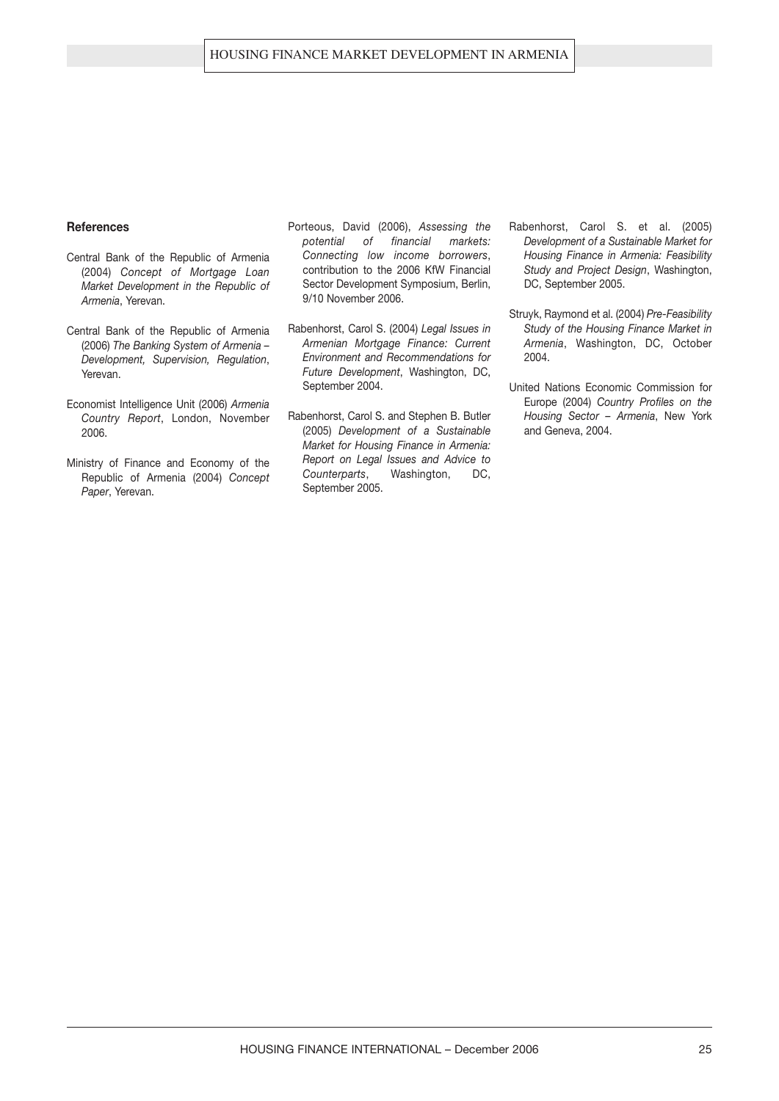#### **References**

- Central Bank of the Republic of Armenia (2004) *Concept of Mortgage Loan Market Development in the Republic of Armenia*, Yerevan.
- Central Bank of the Republic of Armenia (2006) *The Banking System of Armenia – Development, Supervision, Regulation*, Yerevan.
- Economist Intelligence Unit (2006) *Armenia Country Report*, London, November 2006.
- Ministry of Finance and Economy of the Republic of Armenia (2004) *Concept Paper*, Yerevan.
- Porteous, David (2006), *Assessing the potential of financial markets: Connecting low income borrowers*, contribution to the 2006 KfW Financial Sector Development Symposium, Berlin, 9/10 November 2006.
- Rabenhorst, Carol S. (2004) *Legal Issues in Armenian Mortgage Finance: Current Environment and Recommendations for Future Development*, Washington, DC, September 2004.
- Rabenhorst, Carol S. and Stephen B. Butler (2005) *Development of a Sustainable Market for Housing Finance in Armenia: Report on Legal Issues and Advice to Counterparts*, Washington, DC, September 2005.
- Rabenhorst, Carol S. et al. (2005) *Development of a Sustainable Market for Housing Finance in Armenia: Feasibility Study and Project Design*, Washington, DC, September 2005.
- Struyk, Raymond et al. (2004) *Pre-Feasibility Study of the Housing Finance Market in Armenia*, Washington, DC, October 2004.
- United Nations Economic Commission for Europe (2004) *Country Profiles on the Housing Sector – Armenia*, New York and Geneva, 2004.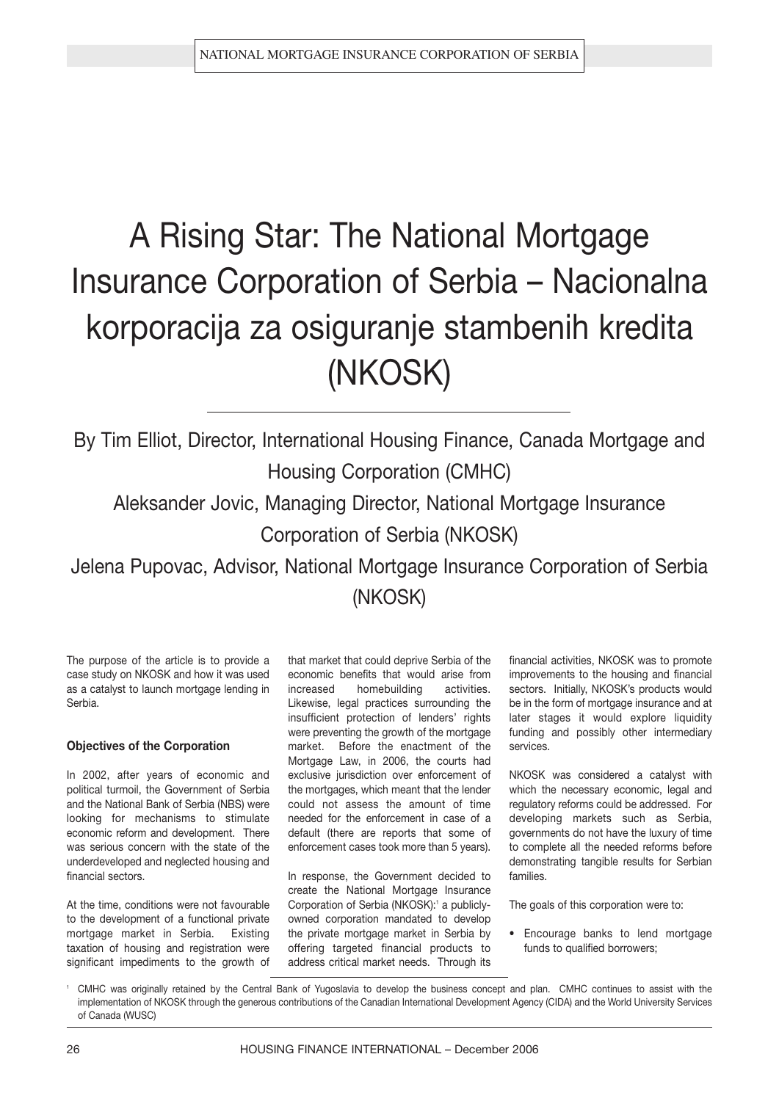# A Rising Star: The National Mortgage Insurance Corporation of Serbia – Nacionalna korporacija za osiguranje stambenih kredita (NKOSK)

By Tim Elliot, Director, International Housing Finance, Canada Mortgage and Housing Corporation (CMHC)

Aleksander Jovic, Managing Director, National Mortgage Insurance Corporation of Serbia (NKOSK)

Jelena Pupovac, Advisor, National Mortgage Insurance Corporation of Serbia (NKOSK)

The purpose of the article is to provide a case study on NKOSK and how it was used as a catalyst to launch mortgage lending in Serbia.

#### **Objectives of the Corporation**

In 2002, after years of economic and political turmoil, the Government of Serbia and the National Bank of Serbia (NBS) were looking for mechanisms to stimulate economic reform and development. There was serious concern with the state of the underdeveloped and neglected housing and financial sectors.

At the time, conditions were not favourable to the development of a functional private mortgage market in Serbia. Existing taxation of housing and registration were significant impediments to the growth of

that market that could deprive Serbia of the economic benefits that would arise from increased homebuilding activities. Likewise, legal practices surrounding the insufficient protection of lenders' rights were preventing the growth of the mortgage market. Before the enactment of the Mortgage Law, in 2006, the courts had exclusive jurisdiction over enforcement of the mortgages, which meant that the lender could not assess the amount of time needed for the enforcement in case of a default (there are reports that some of enforcement cases took more than 5 years).

In response, the Government decided to create the National Mortgage Insurance Corporation of Serbia (NKOSK):<sup>1</sup> a publiclyowned corporation mandated to develop the private mortgage market in Serbia by offering targeted financial products to address critical market needs. Through its financial activities, NKOSK was to promote improvements to the housing and financial sectors. Initially, NKOSK's products would be in the form of mortgage insurance and at later stages it would explore liquidity funding and possibly other intermediary services.

NKOSK was considered a catalyst with which the necessary economic, legal and regulatory reforms could be addressed. For developing markets such as Serbia, governments do not have the luxury of time to complete all the needed reforms before demonstrating tangible results for Serbian families.

The goals of this corporation were to:

**•** Encourage banks to lend mortgage funds to qualified borrowers;

<sup>1</sup> CMHC was originally retained by the Central Bank of Yugoslavia to develop the business concept and plan. CMHC continues to assist with the implementation of NKOSK through the generous contributions of the Canadian International Development Agency (CIDA) and the World University Services of Canada (WUSC)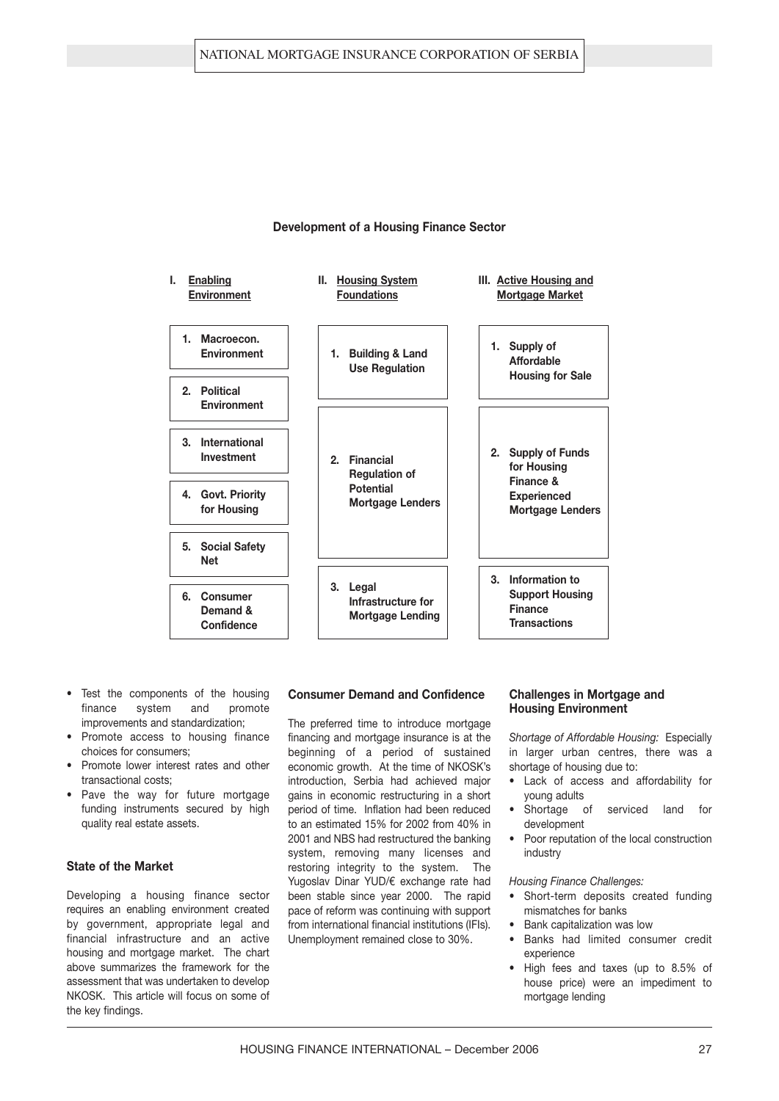

#### **Development of a Housing Finance Sector**

- **•** Test the components of the housing finance system and promote improvements and standardization;
- **•** Promote access to housing finance choices for consumers;
- **•** Promote lower interest rates and other transactional costs;
- **•** Pave the way for future mortgage funding instruments secured by high quality real estate assets.

#### **State of the Market**

Developing a housing finance sector requires an enabling environment created by government, appropriate legal and financial infrastructure and an active housing and mortgage market. The chart above summarizes the framework for the assessment that was undertaken to develop NKOSK. This article will focus on some of the key findings.

#### **Consumer Demand and Confidence**

The preferred time to introduce mortgage financing and mortgage insurance is at the beginning of a period of sustained economic growth. At the time of NKOSK's introduction, Serbia had achieved major gains in economic restructuring in a short period of time. Inflation had been reduced to an estimated 15% for 2002 from 40% in 2001 and NBS had restructured the banking system, removing many licenses and restoring integrity to the system. The Yugoslay Dinar YUD/€ exchange rate had been stable since year 2000. The rapid pace of reform was continuing with support from international financial institutions (IFIs). Unemployment remained close to 30%.

#### **Challenges in Mortgage and Housing Environment**

*Shortage of Affordable Housing:* Especially in larger urban centres, there was a shortage of housing due to:

- **•** Lack of access and affordability for young adults
- **•** Shortage of serviced land for development
- **•** Poor reputation of the local construction industry

#### *Housing Finance Challenges:*

- **•** Short-term deposits created funding mismatches for banks
- **•** Bank capitalization was low
- **•** Banks had limited consumer credit experience
- **•** High fees and taxes (up to 8.5% of house price) were an impediment to mortgage lending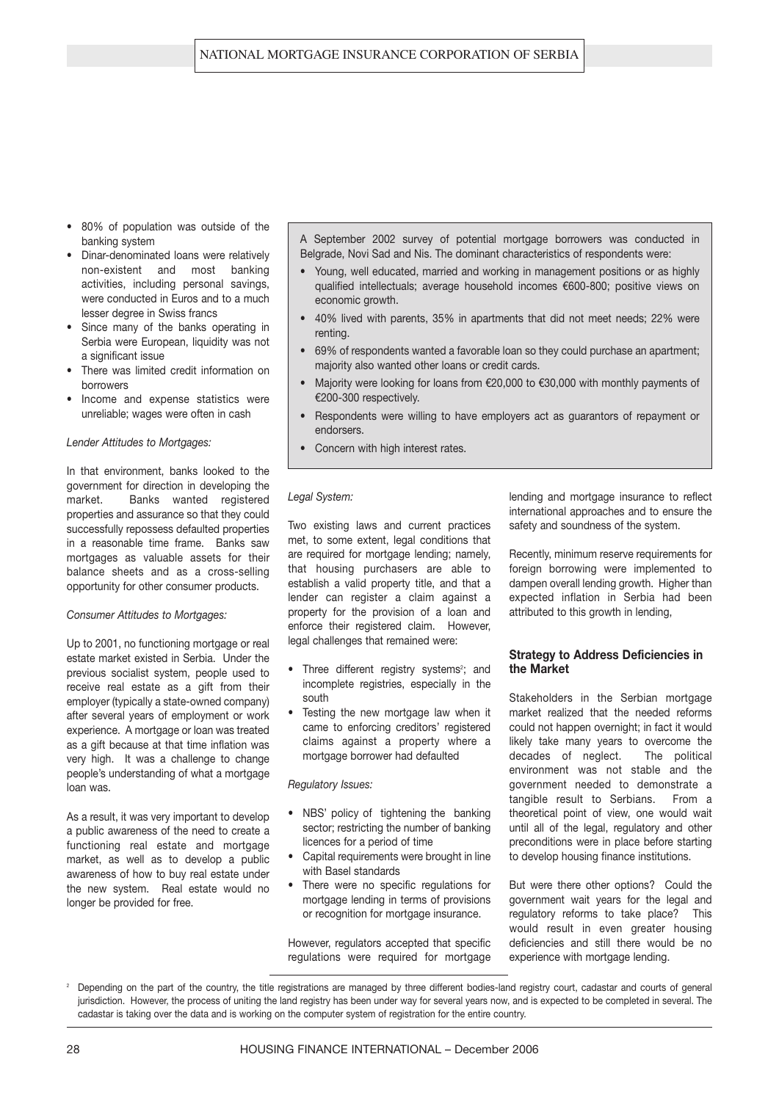- **•** 80% of population was outside of the banking system
- **•** Dinar-denominated loans were relatively non-existent and most banking activities, including personal savings, were conducted in Euros and to a much lesser degree in Swiss francs
- **•** Since many of the banks operating in Serbia were European, liquidity was not a significant issue
- **•** There was limited credit information on borrowers
- **•** Income and expense statistics were unreliable; wages were often in cash

#### *Lender Attitudes to Mortgages:*

In that environment, banks looked to the government for direction in developing the market. Banks wanted registered properties and assurance so that they could successfully repossess defaulted properties in a reasonable time frame. Banks saw mortgages as valuable assets for their balance sheets and as a cross-selling opportunity for other consumer products.

#### *Consumer Attitudes to Mortgages:*

Up to 2001, no functioning mortgage or real estate market existed in Serbia. Under the previous socialist system, people used to receive real estate as a gift from their employer (typically a state-owned company) after several years of employment or work experience. A mortgage or loan was treated as a gift because at that time inflation was very high. It was a challenge to change people's understanding of what a mortgage loan was.

As a result, it was very important to develop a public awareness of the need to create a functioning real estate and mortgage market, as well as to develop a public awareness of how to buy real estate under the new system. Real estate would no longer be provided for free.

A September 2002 survey of potential mortgage borrowers was conducted in Belgrade, Novi Sad and Nis. The dominant characteristics of respondents were:

- **•** Young, well educated, married and working in management positions or as highly qualified intellectuals; average household incomes €600-800; positive views on economic growth.
- **•** 40% lived with parents, 35% in apartments that did not meet needs; 22% were renting.
- **•** 69% of respondents wanted a favorable loan so they could purchase an apartment; majority also wanted other loans or credit cards.
- **•** Majority were looking for loans from e20,000 to e30,000 with monthly payments of €200-300 respectively.
- **•** Respondents were willing to have employers act as guarantors of repayment or endorsers.
- **•** Concern with high interest rates.

#### *Legal System:*

Two existing laws and current practices met, to some extent, legal conditions that are required for mortgage lending; namely, that housing purchasers are able to establish a valid property title, and that a lender can register a claim against a property for the provision of a loan and enforce their registered claim. However, legal challenges that remained were:

- Three different registry systems<sup>2</sup>; and incomplete registries, especially in the south
- **•** Testing the new mortgage law when it came to enforcing creditors' registered claims against a property where a mortgage borrower had defaulted

#### *Regulatory Issues:*

- **•** NBS' policy of tightening the banking sector; restricting the number of banking licences for a period of time
- **•** Capital requirements were brought in line with Basel standards
- **•** There were no specific regulations for mortgage lending in terms of provisions or recognition for mortgage insurance.

However, regulators accepted that specific regulations were required for mortgage lending and mortgage insurance to reflect international approaches and to ensure the safety and soundness of the system.

Recently, minimum reserve requirements for foreign borrowing were implemented to dampen overall lending growth. Higher than expected inflation in Serbia had been attributed to this growth in lending,

#### **Strategy to Address Deficiencies in the Market**

Stakeholders in the Serbian mortgage market realized that the needed reforms could not happen overnight; in fact it would likely take many years to overcome the decades of neglect. The political environment was not stable and the government needed to demonstrate a tangible result to Serbians. From a theoretical point of view, one would wait until all of the legal, regulatory and other preconditions were in place before starting to develop housing finance institutions.

But were there other options? Could the government wait years for the legal and regulatory reforms to take place? This would result in even greater housing deficiencies and still there would be no experience with mortgage lending.

<sup>2</sup> Depending on the part of the country, the title registrations are managed by three different bodies-land registry court, cadastar and courts of general jurisdiction. However, the process of uniting the land registry has been under way for several years now, and is expected to be completed in several. The cadastar is taking over the data and is working on the computer system of registration for the entire country.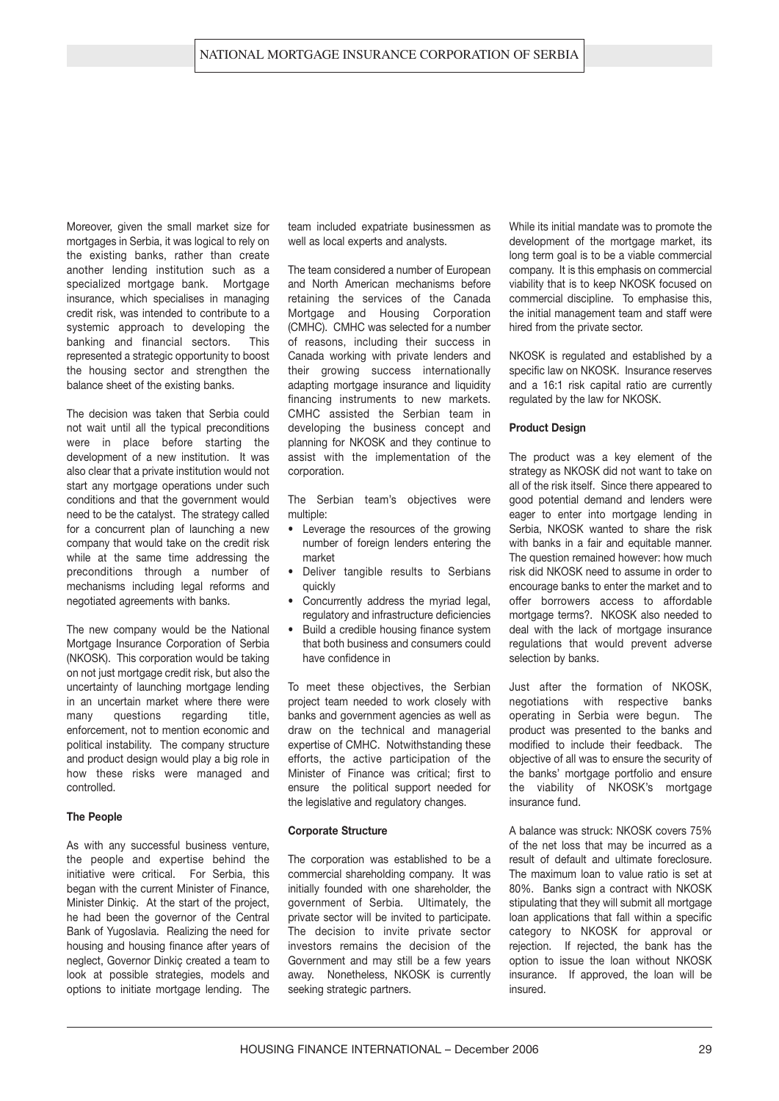Moreover, given the small market size for mortgages in Serbia, it was logical to rely on the existing banks, rather than create another lending institution such as a specialized mortgage bank. Mortgage insurance, which specialises in managing credit risk, was intended to contribute to a systemic approach to developing the banking and financial sectors. This represented a strategic opportunity to boost the housing sector and strengthen the balance sheet of the existing banks.

The decision was taken that Serbia could not wait until all the typical preconditions were in place before starting the development of a new institution. It was also clear that a private institution would not start any mortgage operations under such conditions and that the government would need to be the catalyst. The strategy called for a concurrent plan of launching a new company that would take on the credit risk while at the same time addressing the preconditions through a number of mechanisms including legal reforms and negotiated agreements with banks.

The new company would be the National Mortgage Insurance Corporation of Serbia (NKOSK). This corporation would be taking on not just mortgage credit risk, but also the uncertainty of launching mortgage lending in an uncertain market where there were many questions regarding title. enforcement, not to mention economic and political instability. The company structure and product design would play a big role in how these risks were managed and controlled.

#### **The People**

As with any successful business venture, the people and expertise behind the initiative were critical. For Serbia, this began with the current Minister of Finance, Minister Dinkiç. At the start of the project, he had been the governor of the Central Bank of Yugoslavia. Realizing the need for housing and housing finance after years of neglect, Governor Dinkiç created a team to look at possible strategies, models and options to initiate mortgage lending. The team included expatriate businessmen as well as local experts and analysts.

The team considered a number of European and North American mechanisms before retaining the services of the Canada Mortgage and Housing Corporation (CMHC). CMHC was selected for a number of reasons, including their success in Canada working with private lenders and their growing success internationally adapting mortgage insurance and liquidity financing instruments to new markets. CMHC assisted the Serbian team in developing the business concept and planning for NKOSK and they continue to assist with the implementation of the corporation.

The Serbian team's objectives were multiple:

- **•** Leverage the resources of the growing number of foreign lenders entering the market
- **•** Deliver tangible results to Serbians quickly
- **•** Concurrently address the myriad legal, regulatory and infrastructure deficiencies
- **•** Build a credible housing finance system that both business and consumers could have confidence in

To meet these objectives, the Serbian project team needed to work closely with banks and government agencies as well as draw on the technical and managerial expertise of CMHC. Notwithstanding these efforts, the active participation of the Minister of Finance was critical; first to ensure the political support needed for the legislative and regulatory changes.

#### **Corporate Structure**

The corporation was established to be a commercial shareholding company. It was initially founded with one shareholder, the government of Serbia. Ultimately, the private sector will be invited to participate. The decision to invite private sector investors remains the decision of the Government and may still be a few years away. Nonetheless, NKOSK is currently seeking strategic partners.

While its initial mandate was to promote the development of the mortgage market, its long term goal is to be a viable commercial company. It is this emphasis on commercial viability that is to keep NKOSK focused on commercial discipline. To emphasise this, the initial management team and staff were hired from the private sector.

NKOSK is regulated and established by a specific law on NKOSK. Insurance reserves and a 16:1 risk capital ratio are currently regulated by the law for NKOSK.

#### **Product Design**

The product was a key element of the strategy as NKOSK did not want to take on all of the risk itself. Since there appeared to good potential demand and lenders were eager to enter into mortgage lending in Serbia, NKOSK wanted to share the risk with banks in a fair and equitable manner. The question remained however: how much risk did NKOSK need to assume in order to encourage banks to enter the market and to offer borrowers access to affordable mortgage terms?. NKOSK also needed to deal with the lack of mortgage insurance regulations that would prevent adverse selection by banks.

Just after the formation of NKOSK, negotiations with respective banks operating in Serbia were begun. The product was presented to the banks and modified to include their feedback. The objective of all was to ensure the security of the banks' mortgage portfolio and ensure the viability of NKOSK's mortgage insurance fund.

A balance was struck: NKOSK covers 75% of the net loss that may be incurred as a result of default and ultimate foreclosure. The maximum loan to value ratio is set at 80%. Banks sign a contract with NKOSK stipulating that they will submit all mortgage loan applications that fall within a specific category to NKOSK for approval or rejection. If rejected, the bank has the option to issue the loan without NKOSK insurance. If approved, the loan will be insured.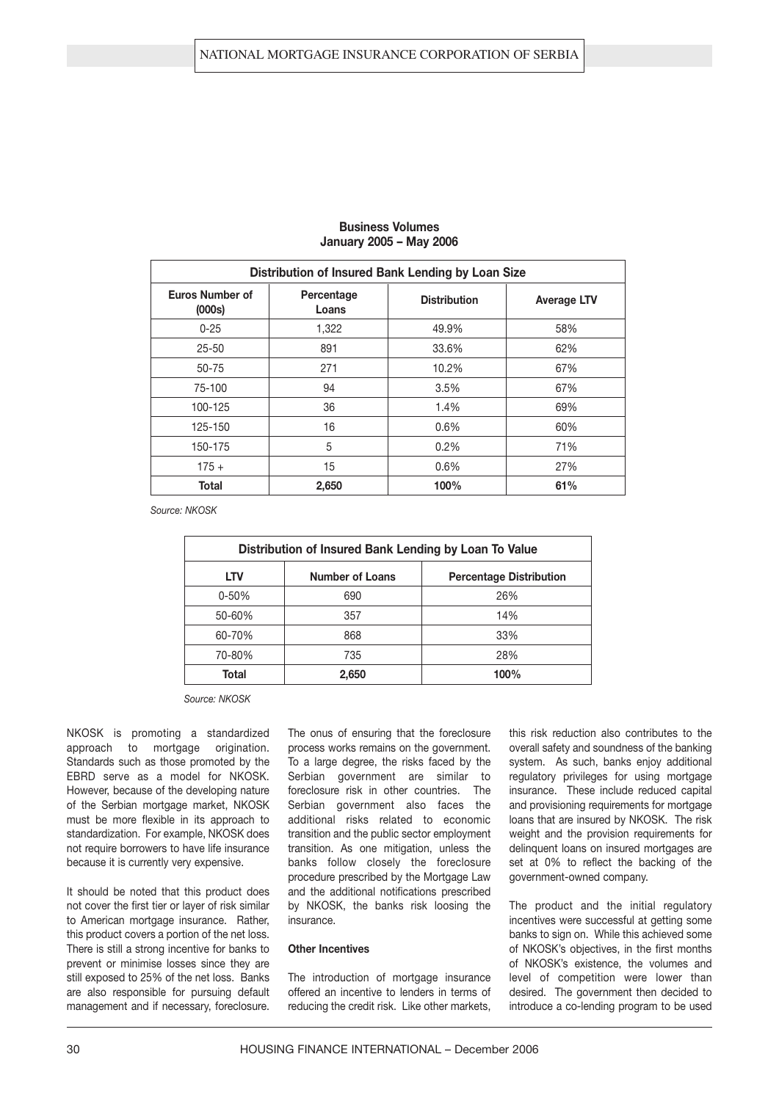| Distribution of Insured Bank Lending by Loan Size |                     |                     |                    |  |  |  |
|---------------------------------------------------|---------------------|---------------------|--------------------|--|--|--|
| <b>Euros Number of</b><br>(000s)                  | Percentage<br>Loans | <b>Distribution</b> | <b>Average LTV</b> |  |  |  |
| $0 - 25$                                          | 1,322               | 49.9%               | 58%                |  |  |  |
| $25 - 50$                                         | 891                 | 33.6%               | 62%                |  |  |  |
| 50-75                                             | 271                 | 10.2%               | 67%                |  |  |  |
| 75-100                                            | 94                  | 3.5%                | 67%                |  |  |  |
| 100-125                                           | 36                  | 1.4%                | 69%                |  |  |  |
| 125-150                                           | 16                  | 0.6%                | 60%                |  |  |  |
| 150-175                                           | 5                   | 0.2%                | 71%                |  |  |  |
| $175 +$                                           | 15                  | 0.6%                | 27%                |  |  |  |
| <b>Total</b>                                      | 2,650               | 100%                | 61%                |  |  |  |

#### **Business Volumes January 2005 – May 2006**

*Source: NKOSK*

| Distribution of Insured Bank Lending by Loan To Value |                                                          |      |  |  |  |  |  |
|-------------------------------------------------------|----------------------------------------------------------|------|--|--|--|--|--|
| <b>LTV</b>                                            | <b>Number of Loans</b><br><b>Percentage Distribution</b> |      |  |  |  |  |  |
| $0 - 50%$                                             | 690                                                      | 26%  |  |  |  |  |  |
| 50-60%                                                | 357                                                      | 14%  |  |  |  |  |  |
| 60-70%                                                | 868                                                      | 33%  |  |  |  |  |  |
| 70-80%                                                | 735                                                      | 28%  |  |  |  |  |  |
| Total                                                 | 2,650                                                    | 100% |  |  |  |  |  |

*Source: NKOSK*

NKOSK is promoting a standardized approach to mortgage origination. Standards such as those promoted by the EBRD serve as a model for NKOSK. However, because of the developing nature of the Serbian mortgage market, NKOSK must be more flexible in its approach to standardization. For example, NKOSK does not require borrowers to have life insurance because it is currently very expensive.

It should be noted that this product does not cover the first tier or layer of risk similar to American mortgage insurance. Rather, this product covers a portion of the net loss. There is still a strong incentive for banks to prevent or minimise losses since they are still exposed to 25% of the net loss. Banks are also responsible for pursuing default management and if necessary, foreclosure.

The onus of ensuring that the foreclosure process works remains on the government. To a large degree, the risks faced by the Serbian government are similar to foreclosure risk in other countries. The Serbian government also faces the additional risks related to economic transition and the public sector employment transition. As one mitigation, unless the banks follow closely the foreclosure procedure prescribed by the Mortgage Law and the additional notifications prescribed by NKOSK, the banks risk loosing the insurance.

#### **Other Incentives**

The introduction of mortgage insurance offered an incentive to lenders in terms of reducing the credit risk. Like other markets, this risk reduction also contributes to the overall safety and soundness of the banking system. As such, banks enjoy additional regulatory privileges for using mortgage insurance. These include reduced capital and provisioning requirements for mortgage loans that are insured by NKOSK. The risk weight and the provision requirements for delinquent loans on insured mortgages are set at 0% to reflect the backing of the government-owned company.

The product and the initial regulatory incentives were successful at getting some banks to sign on. While this achieved some of NKOSK's objectives, in the first months of NKOSK's existence, the volumes and level of competition were lower than desired. The government then decided to introduce a co-lending program to be used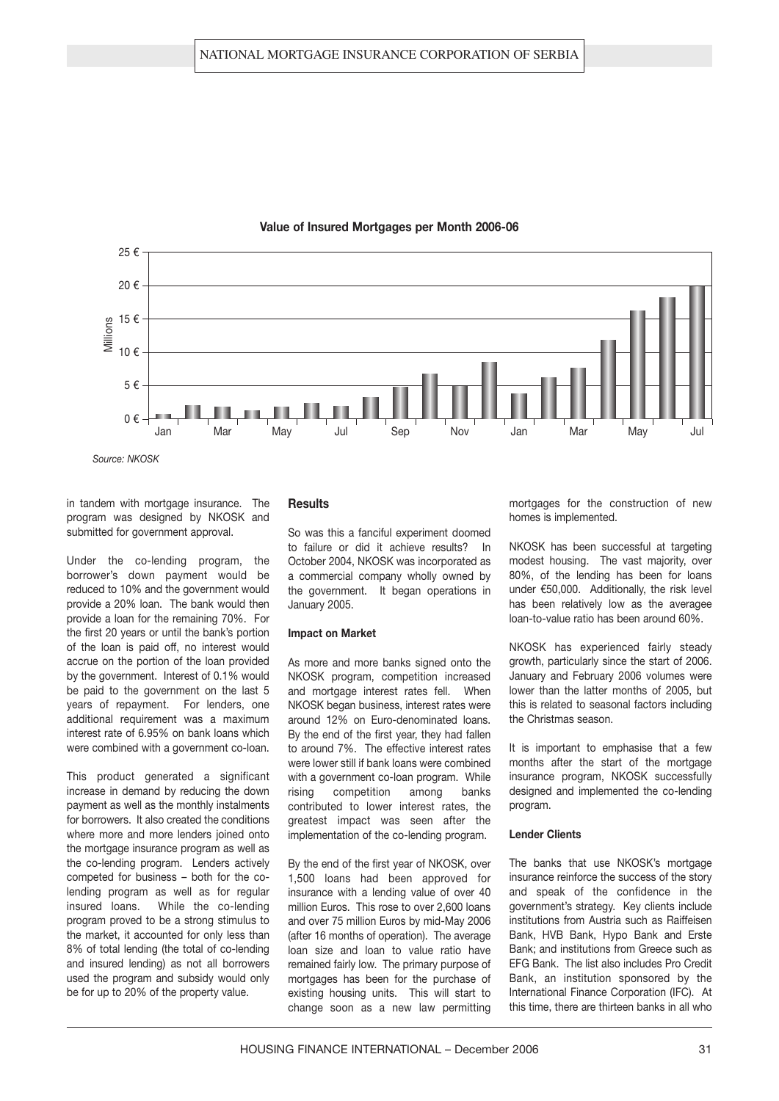

#### **Value of Insured Mortgages per Month 2006-06**

*Source: NKOSK*

in tandem with mortgage insurance. The program was designed by NKOSK and submitted for government approval.

Under the co-lending program, the borrower's down payment would be reduced to 10% and the government would provide a 20% loan. The bank would then provide a loan for the remaining 70%. For the first 20 years or until the bank's portion of the loan is paid off, no interest would accrue on the portion of the loan provided by the government. Interest of 0.1% would be paid to the government on the last 5 years of repayment. For lenders, one additional requirement was a maximum interest rate of 6.95% on bank loans which were combined with a government co-loan.

This product generated a significant increase in demand by reducing the down payment as well as the monthly instalments for borrowers. It also created the conditions where more and more lenders joined onto the mortgage insurance program as well as the co-lending program. Lenders actively competed for business – both for the colending program as well as for regular insured loans. While the co-lending program proved to be a strong stimulus to the market, it accounted for only less than 8% of total lending (the total of co-lending and insured lending) as not all borrowers used the program and subsidy would only be for up to 20% of the property value.

#### **Results**

So was this a fanciful experiment doomed to failure or did it achieve results? In October 2004, NKOSK was incorporated as a commercial company wholly owned by the government. It began operations in January 2005.

#### **Impact on Market**

As more and more banks signed onto the NKOSK program, competition increased and mortgage interest rates fell. When NKOSK began business, interest rates were around 12% on Euro-denominated loans. By the end of the first year, they had fallen to around 7%. The effective interest rates were lower still if bank loans were combined with a government co-loan program. While rising competition among banks contributed to lower interest rates, the greatest impact was seen after the implementation of the co-lending program.

By the end of the first year of NKOSK, over 1,500 loans had been approved for insurance with a lending value of over 40 million Euros. This rose to over 2,600 loans and over 75 million Euros by mid-May 2006 (after 16 months of operation). The average loan size and loan to value ratio have remained fairly low. The primary purpose of mortgages has been for the purchase of existing housing units. This will start to change soon as a new law permitting mortgages for the construction of new homes is implemented.

NKOSK has been successful at targeting modest housing. The vast majority, over 80%, of the lending has been for loans under €50,000. Additionally, the risk level has been relatively low as the averagee loan-to-value ratio has been around 60%.

NKOSK has experienced fairly steady growth, particularly since the start of 2006. January and February 2006 volumes were lower than the latter months of 2005, but this is related to seasonal factors including the Christmas season.

It is important to emphasise that a few months after the start of the mortgage insurance program, NKOSK successfully designed and implemented the co-lending program.

#### **Lender Clients**

The banks that use NKOSK's mortgage insurance reinforce the success of the story and speak of the confidence in the government's strategy. Key clients include institutions from Austria such as Raiffeisen Bank, HVB Bank, Hypo Bank and Erste Bank; and institutions from Greece such as EFG Bank. The list also includes Pro Credit Bank, an institution sponsored by the International Finance Corporation (IFC). At this time, there are thirteen banks in all who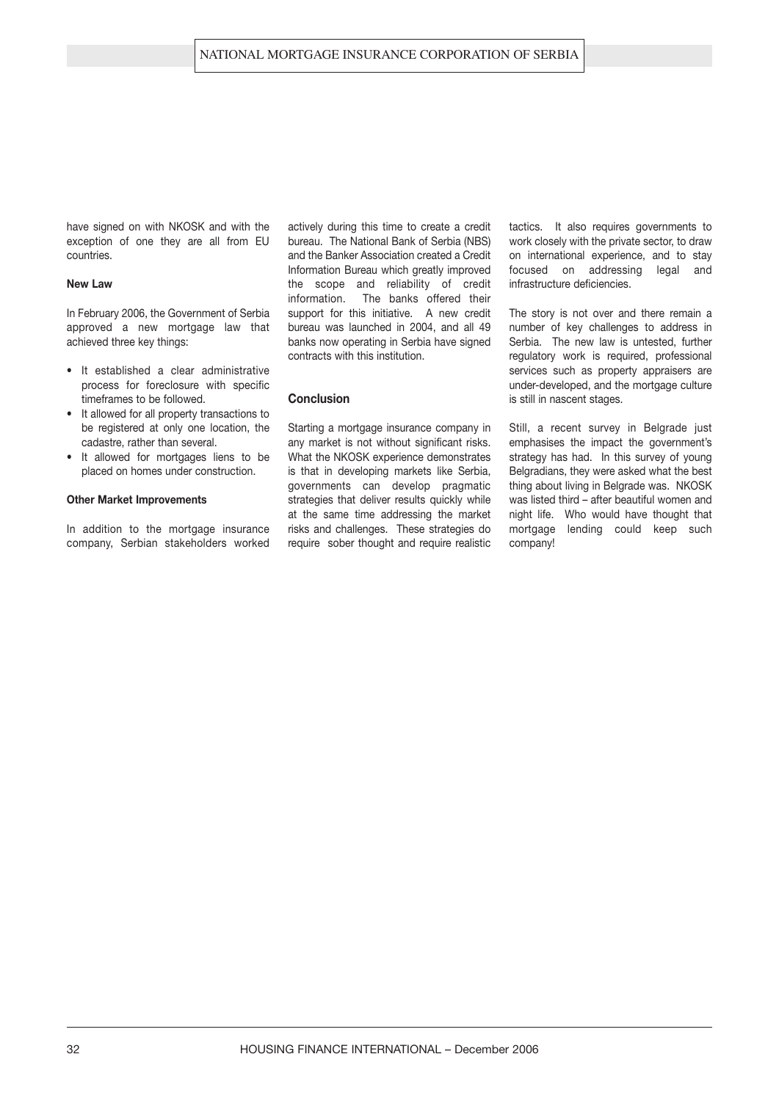have signed on with NKOSK and with the exception of one they are all from EU countries.

#### **New Law**

In February 2006, the Government of Serbia approved a new mortgage law that achieved three key things:

- **•** It established a clear administrative process for foreclosure with specific timeframes to be followed.
- **•** It allowed for all property transactions to be registered at only one location, the cadastre, rather than several.
- **•** It allowed for mortgages liens to be placed on homes under construction.

#### **Other Market Improvements**

In addition to the mortgage insurance company, Serbian stakeholders worked

actively during this time to create a credit bureau. The National Bank of Serbia (NBS) and the Banker Association created a Credit Information Bureau which greatly improved the scope and reliability of credit information. The banks offered their support for this initiative. A new credit bureau was launched in 2004, and all 49 banks now operating in Serbia have signed contracts with this institution.

#### **Conclusion**

Starting a mortgage insurance company in any market is not without significant risks. What the NKOSK experience demonstrates is that in developing markets like Serbia, governments can develop pragmatic strategies that deliver results quickly while at the same time addressing the market risks and challenges. These strategies do require sober thought and require realistic tactics. It also requires governments to work closely with the private sector, to draw on international experience, and to stay focused on addressing legal and infrastructure deficiencies.

The story is not over and there remain a number of key challenges to address in Serbia. The new law is untested, further regulatory work is required, professional services such as property appraisers are under-developed, and the mortgage culture is still in nascent stages.

Still, a recent survey in Belgrade just emphasises the impact the government's strategy has had. In this survey of young Belgradians, they were asked what the best thing about living in Belgrade was. NKOSK was listed third – after beautiful women and night life. Who would have thought that mortgage lending could keep such company!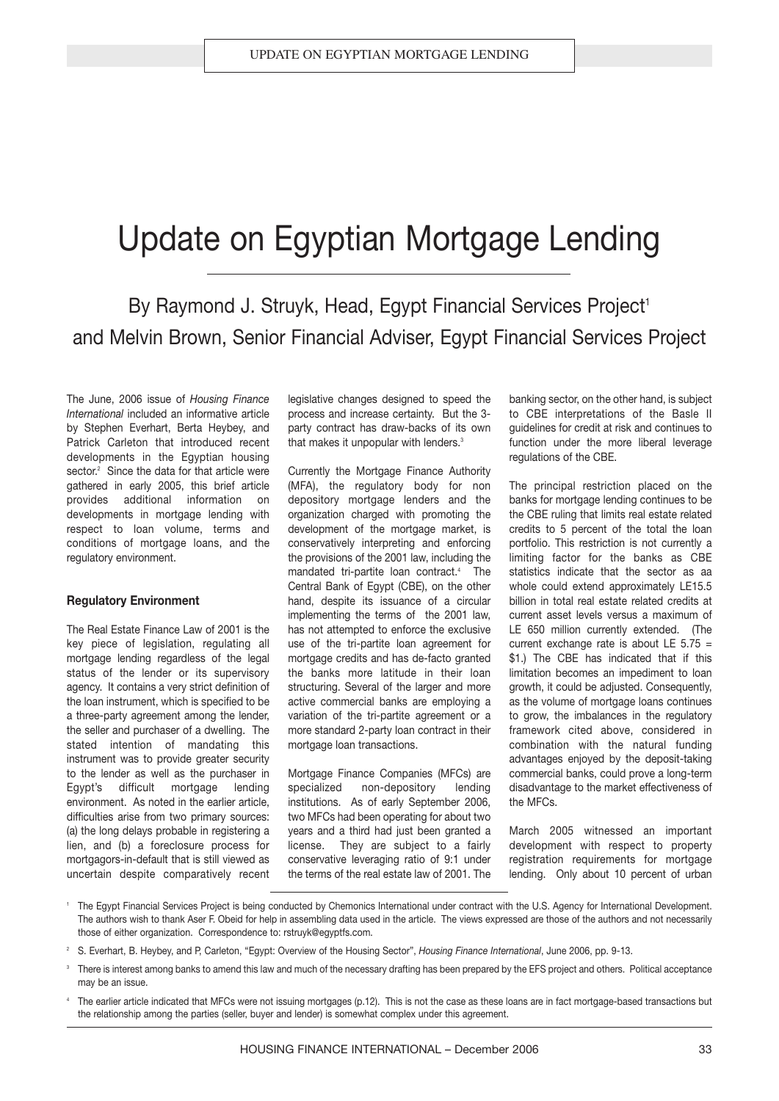## Update on Egyptian Mortgage Lending

### By Raymond J. Struyk, Head, Egypt Financial Services Project<sup>1</sup> and Melvin Brown, Senior Financial Adviser, Egypt Financial Services Project

The June, 2006 issue of *Housing Finance International* included an informative article by Stephen Everhart, Berta Heybey, and Patrick Carleton that introduced recent developments in the Egyptian housing sector.<sup>2</sup> Since the data for that article were gathered in early 2005, this brief article provides additional information on developments in mortgage lending with respect to loan volume, terms and conditions of mortgage loans, and the regulatory environment.

#### **Regulatory Environment**

The Real Estate Finance Law of 2001 is the key piece of legislation, regulating all mortgage lending regardless of the legal status of the lender or its supervisory agency. It contains a very strict definition of the loan instrument, which is specified to be a three-party agreement among the lender, the seller and purchaser of a dwelling. The stated intention of mandating this instrument was to provide greater security to the lender as well as the purchaser in Egypt's difficult mortgage lending environment. As noted in the earlier article, difficulties arise from two primary sources: (a) the long delays probable in registering a lien, and (b) a foreclosure process for mortgagors-in-default that is still viewed as uncertain despite comparatively recent legislative changes designed to speed the process and increase certainty. But the 3 party contract has draw-backs of its own that makes it unpopular with lenders.<sup>3</sup>

Currently the Mortgage Finance Authority (MFA), the regulatory body for non depository mortgage lenders and the organization charged with promoting the development of the mortgage market, is conservatively interpreting and enforcing the provisions of the 2001 law, including the mandated tri-partite loan contract.<sup>4</sup> The Central Bank of Egypt (CBE), on the other hand, despite its issuance of a circular implementing the terms of the 2001 law, has not attempted to enforce the exclusive use of the tri-partite loan agreement for mortgage credits and has de-facto granted the banks more latitude in their loan structuring. Several of the larger and more active commercial banks are employing a variation of the tri-partite agreement or a more standard 2-party loan contract in their mortgage loan transactions.

Mortgage Finance Companies (MFCs) are specialized non-depository lending institutions. As of early September 2006, two MFCs had been operating for about two years and a third had just been granted a license. They are subject to a fairly conservative leveraging ratio of 9:1 under the terms of the real estate law of 2001. The banking sector, on the other hand, is subject to CBE interpretations of the Basle II guidelines for credit at risk and continues to function under the more liberal leverage regulations of the CBE.

The principal restriction placed on the banks for mortgage lending continues to be the CBE ruling that limits real estate related credits to 5 percent of the total the loan portfolio. This restriction is not currently a limiting factor for the banks as CBE statistics indicate that the sector as aa whole could extend approximately LE15.5 billion in total real estate related credits at current asset levels versus a maximum of LE 650 million currently extended. (The current exchange rate is about LE  $5.75 =$ \$1.) The CBE has indicated that if this limitation becomes an impediment to loan growth, it could be adjusted. Consequently, as the volume of mortgage loans continues to grow, the imbalances in the regulatory framework cited above, considered in combination with the natural funding advantages enjoyed by the deposit-taking commercial banks, could prove a long-term disadvantage to the market effectiveness of the MFCs.

March 2005 witnessed an important development with respect to property registration requirements for mortgage lending. Only about 10 percent of urban

- <sup>1</sup> The Egypt Financial Services Project is being conducted by Chemonics International under contract with the U.S. Agency for International Development. The authors wish to thank Aser F. Obeid for help in assembling data used in the article. The views expressed are those of the authors and not necessarily those of either organization. Correspondence to: rstruyk@egyptfs.com.
- <sup>2</sup> S. Everhart, B. Heybey, and P, Carleton, "Egypt: Overview of the Housing Sector", *Housing Finance International*, June 2006, pp. 9-13.
- There is interest among banks to amend this law and much of the necessary drafting has been prepared by the EFS project and others. Political acceptance may be an issue.
- The earlier article indicated that MFCs were not issuing mortgages (p.12). This is not the case as these loans are in fact mortgage-based transactions but the relationship among the parties (seller, buyer and lender) is somewhat complex under this agreement.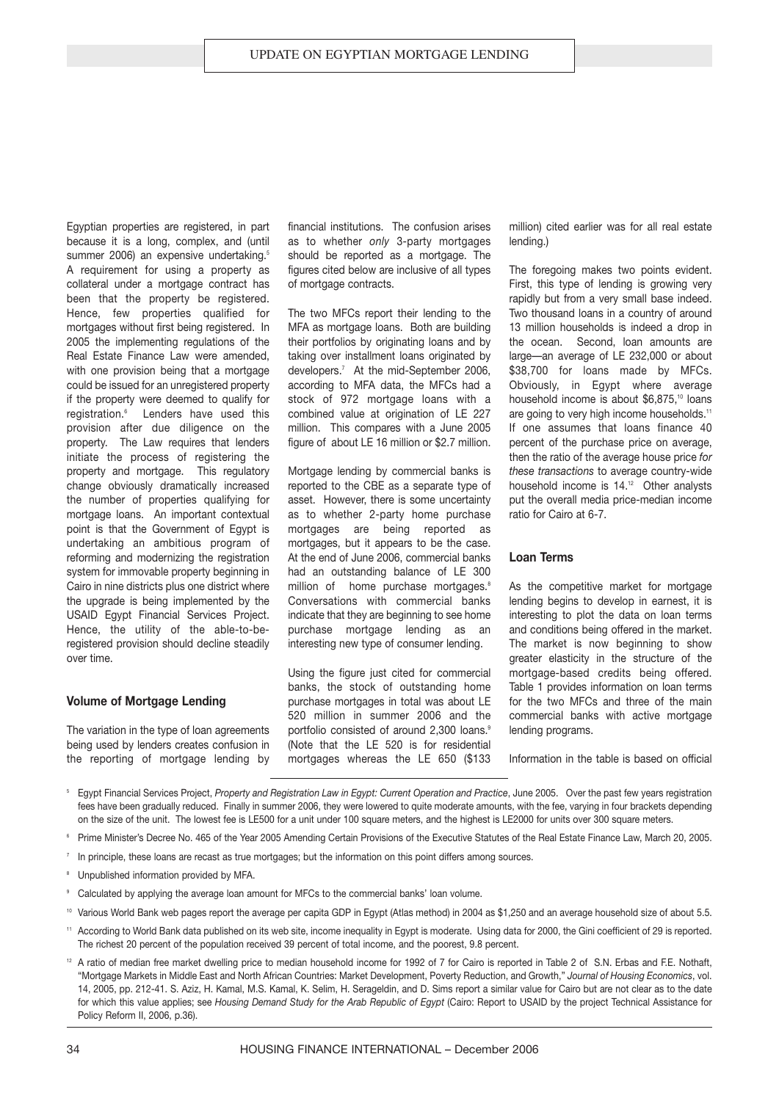Egyptian properties are registered, in part because it is a long, complex, and (until summer 2006) an expensive undertaking.<sup>5</sup> A requirement for using a property as collateral under a mortgage contract has been that the property be registered. Hence, few properties qualified for mortgages without first being registered. In 2005 the implementing regulations of the Real Estate Finance Law were amended, with one provision being that a mortgage could be issued for an unregistered property if the property were deemed to qualify for registration.<sup>6</sup> Lenders have used this provision after due diligence on the property. The Law requires that lenders initiate the process of registering the property and mortgage. This regulatory change obviously dramatically increased the number of properties qualifying for mortgage loans. An important contextual point is that the Government of Egypt is undertaking an ambitious program of reforming and modernizing the registration system for immovable property beginning in Cairo in nine districts plus one district where the upgrade is being implemented by the USAID Egypt Financial Services Project. Hence, the utility of the able-to-beregistered provision should decline steadily over time.

#### **Volume of Mortgage Lending**

The variation in the type of loan agreements being used by lenders creates confusion in the reporting of mortgage lending by

financial institutions. The confusion arises as to whether *only* 3-party mortgages should be reported as a mortgage. The figures cited below are inclusive of all types of mortgage contracts.

The two MFCs report their lending to the MFA as mortgage loans. Both are building their portfolios by originating loans and by taking over installment loans originated by developers.<sup>7</sup> At the mid-September 2006, according to MFA data, the MFCs had a stock of 972 mortgage loans with a combined value at origination of LE 227 million. This compares with a June 2005 figure of about LE 16 million or \$2.7 million.

Mortgage lending by commercial banks is reported to the CBE as a separate type of asset. However, there is some uncertainty as to whether 2-party home purchase mortgages are being reported as mortgages, but it appears to be the case. At the end of June 2006, commercial banks had an outstanding balance of LE 300 million of home purchase mortgages.<sup>8</sup> Conversations with commercial banks indicate that they are beginning to see home purchase mortgage lending as an interesting new type of consumer lending.

Using the figure just cited for commercial banks, the stock of outstanding home purchase mortgages in total was about LE 520 million in summer 2006 and the portfolio consisted of around 2,300 loans.<sup>9</sup> (Note that the LE 520 is for residential mortgages whereas the LE 650 (\$133 million) cited earlier was for all real estate lending.)

The foregoing makes two points evident. First, this type of lending is growing very rapidly but from a very small base indeed. Two thousand loans in a country of around 13 million households is indeed a drop in the ocean. Second, loan amounts are large—an average of LE 232,000 or about \$38,700 for loans made by MFCs. Obviously, in Egypt where average household income is about \$6,875,<sup>10</sup> loans are going to very high income households.<sup>11</sup> If one assumes that loans finance 40 percent of the purchase price on average, then the ratio of the average house price *for these transactions* to average country-wide household income is 14.<sup>12</sup> Other analysts put the overall media price-median income ratio for Cairo at 6-7.

#### **Loan Terms**

As the competitive market for mortgage lending begins to develop in earnest, it is interesting to plot the data on loan terms and conditions being offered in the market. The market is now beginning to show greater elasticity in the structure of the mortgage-based credits being offered. Table 1 provides information on loan terms for the two MFCs and three of the main commercial banks with active mortgage lending programs.

Information in the table is based on official

- <sup>5</sup> Egypt Financial Services Project, *Property and Registration Law in Egypt: Current Operation and Practice*, June 2005. Over the past few years registration fees have been gradually reduced. Finally in summer 2006, they were lowered to quite moderate amounts, with the fee, varying in four brackets depending on the size of the unit. The lowest fee is LE500 for a unit under 100 square meters, and the highest is LE2000 for units over 300 square meters.
- <sup>6</sup> Prime Minister's Decree No. 465 of the Year 2005 Amending Certain Provisions of the Executive Statutes of the Real Estate Finance Law, March 20, 2005.
- 7 In principle, these loans are recast as true mortgages; but the information on this point differs among sources.
- Unpublished information provided by MFA.
- Calculated by applying the average loan amount for MFCs to the commercial banks' loan volume.
- <sup>10</sup> Various World Bank web pages report the average per capita GDP in Egypt (Atlas method) in 2004 as \$1,250 and an average household size of about 5.5.
- <sup>11</sup> According to World Bank data published on its web site, income inequality in Egypt is moderate. Using data for 2000, the Gini coefficient of 29 is reported. The richest 20 percent of the population received 39 percent of total income, and the poorest, 9.8 percent.
- <sup>12</sup> A ratio of median free market dwelling price to median household income for 1992 of 7 for Cairo is reported in Table 2 of S.N. Erbas and F.E. Nothaft, "Mortgage Markets in Middle East and North African Countries: Market Development, Poverty Reduction, and Growth," *Journal of Housing Economics*, vol. 14, 2005, pp. 212-41. S. Aziz, H. Kamal, M.S. Kamal, K. Selim, H. Serageldin, and D. Sims report a similar value for Cairo but are not clear as to the date for which this value applies; see *Housing Demand Study for the Arab Republic of Egypt* (Cairo: Report to USAID by the project Technical Assistance for Policy Reform II, 2006, p.36).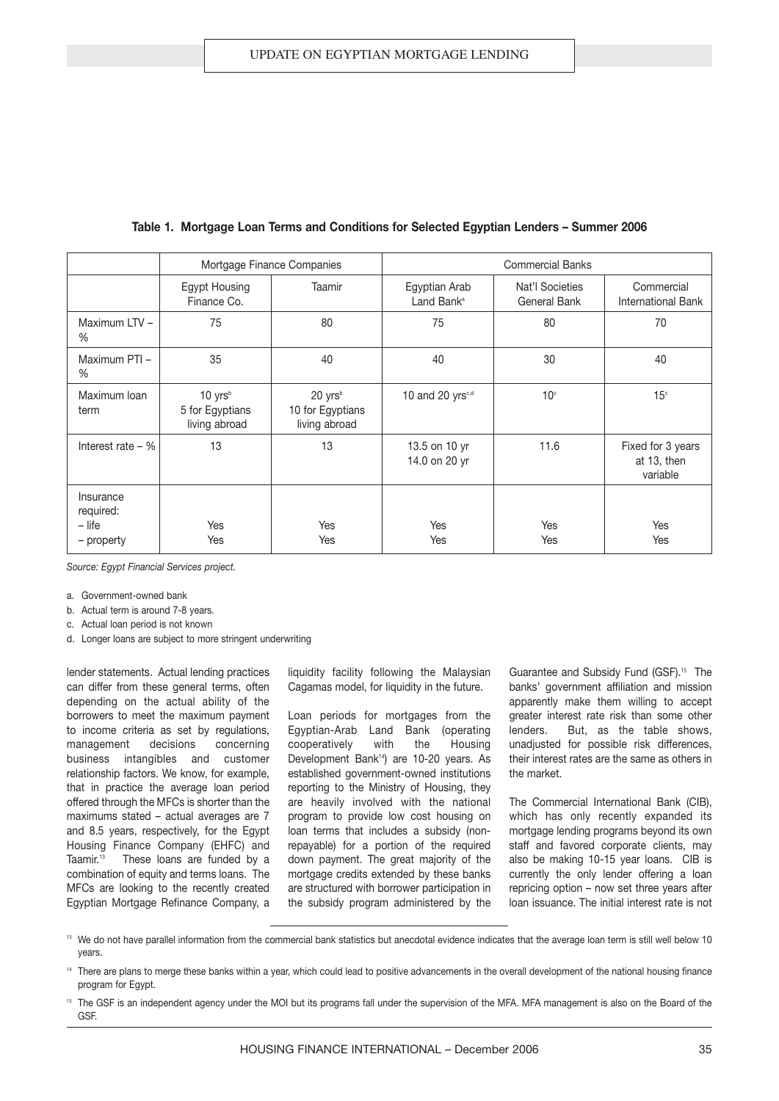|                                                  |                                                        | Mortgage Finance Companies                               | <b>Commercial Banks</b>                 |                                 |                                              |  |
|--------------------------------------------------|--------------------------------------------------------|----------------------------------------------------------|-----------------------------------------|---------------------------------|----------------------------------------------|--|
|                                                  | <b>Egypt Housing</b><br>Finance Co.                    | Taamir                                                   | Egyptian Arab<br>Land Bank <sup>a</sup> | Nat'l Societies<br>General Bank | Commercial<br><b>International Bank</b>      |  |
| Maximum LTV -<br>%                               | 75                                                     | 80                                                       | 75                                      | 80                              | 70                                           |  |
| Maximum PTI-<br>%                                | 35                                                     | 40                                                       | 40                                      | 30                              | 40                                           |  |
| Maximum Ioan<br>term                             | $10 \text{ yrs}^b$<br>5 for Egyptians<br>living abroad | 20 yrs <sup>b</sup><br>10 for Egyptians<br>living abroad | 10 and 20 yrs <sup>c,d</sup>            | 10 <sup>c</sup>                 | 15 <sup>c</sup>                              |  |
| Interest rate $-$ %                              | 13                                                     | 13                                                       | 13.5 on 10 yr<br>14.0 on 20 yr          | 11.6                            | Fixed for 3 years<br>at 13, then<br>variable |  |
| Insurance<br>required:<br>$-$ life<br>– property | Yes<br>Yes                                             | Yes<br>Yes                                               | Yes<br>Yes                              | Yes<br>Yes                      | Yes<br>Yes                                   |  |

#### **Table 1. Mortgage Loan Terms and Conditions for Selected Egyptian Lenders – Summer 2006**

*Source: Egypt Financial Services project.*

a. Government-owned bank

b. Actual term is around 7-8 years.

c. Actual loan period is not known

d. Longer loans are subject to more stringent underwriting

lender statements. Actual lending practices can differ from these general terms, often depending on the actual ability of the borrowers to meet the maximum payment to income criteria as set by regulations, management decisions concerning business intangibles and customer relationship factors. We know, for example, that in practice the average loan period offered through the MFCs is shorter than the maximums stated – actual averages are 7 and 8.5 years, respectively, for the Egypt Housing Finance Company (EHFC) and Taamir.<sup>13</sup> These loans are funded by a combination of equity and terms loans. The MFCs are looking to the recently created Egyptian Mortgage Refinance Company, a liquidity facility following the Malaysian Cagamas model, for liquidity in the future.

Loan periods for mortgages from the Egyptian-Arab Land Bank (operating cooperatively with the Housing Development Bank<sup>14</sup>) are 10-20 years. As established government-owned institutions reporting to the Ministry of Housing, they are heavily involved with the national program to provide low cost housing on loan terms that includes a subsidy (nonrepayable) for a portion of the required down payment. The great majority of the mortgage credits extended by these banks are structured with borrower participation in the subsidy program administered by the Guarantee and Subsidy Fund (GSF).<sup>15</sup> The banks' government affiliation and mission apparently make them willing to accept greater interest rate risk than some other lenders. But, as the table shows, unadjusted for possible risk differences, their interest rates are the same as others in the market.

The Commercial International Bank (CIB), which has only recently expanded its mortgage lending programs beyond its own staff and favored corporate clients, may also be making 10-15 year loans. CIB is currently the only lender offering a loan repricing option – now set three years after loan issuance. The initial interest rate is not

<sup>13</sup> We do not have parallel information from the commercial bank statistics but anecdotal evidence indicates that the average loan term is still well below 10 years.

<sup>14</sup> There are plans to merge these banks within a year, which could lead to positive advancements in the overall development of the national housing finance program for Egypt.

<sup>15</sup> The GSF is an independent agency under the MOI but its programs fall under the supervision of the MFA. MFA management is also on the Board of the GSF.